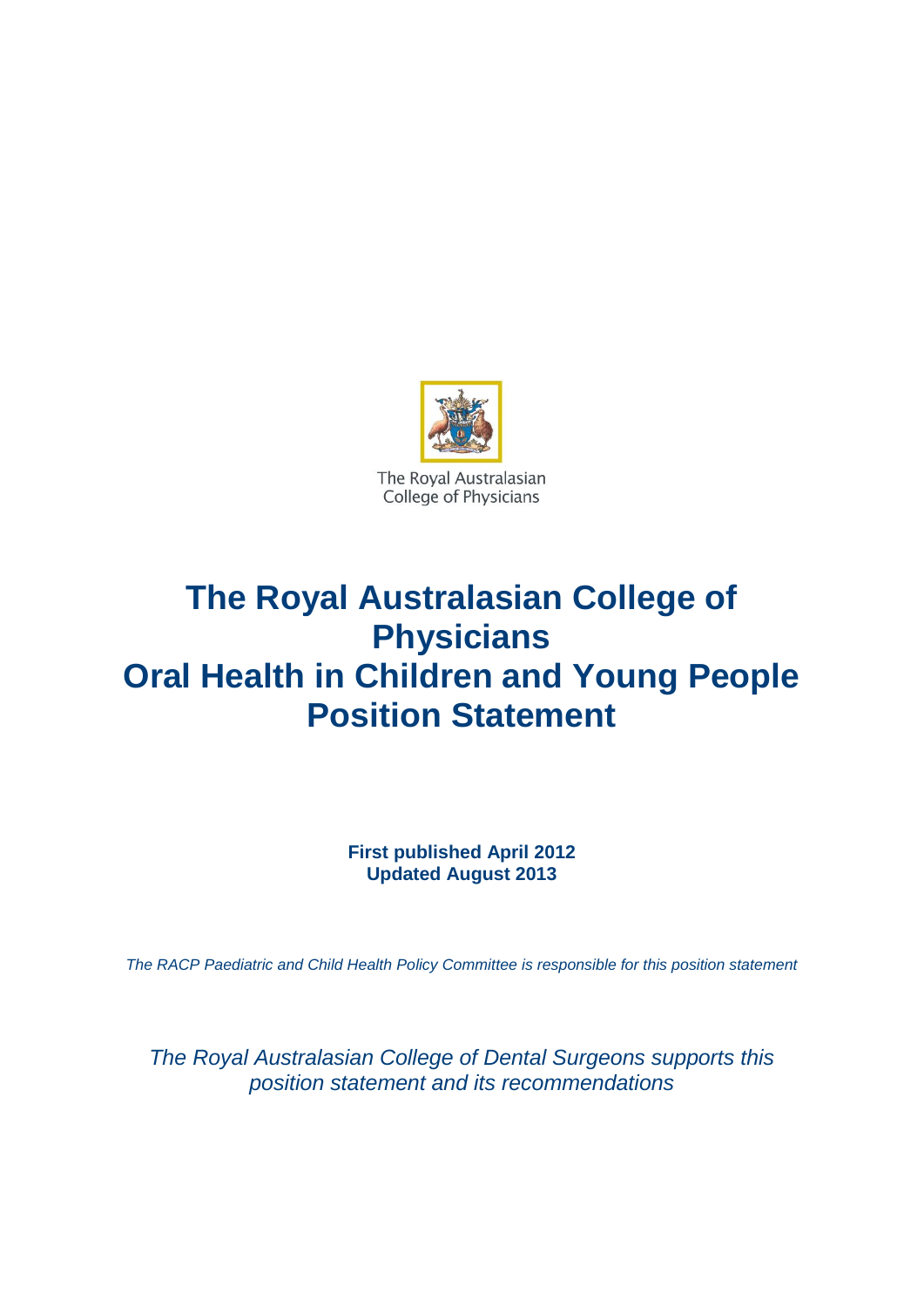

The Royal Australasian College of Physicians

# **The Royal Australasian College of Physicians Oral Health in Children and Young People Position Statement**

**First published April 2012 Updated August 2013**

*The RACP Paediatric and Child Health Policy Committee is responsible for this position statement*

*The Royal Australasian College of Dental Surgeons supports this position statement and its recommendations*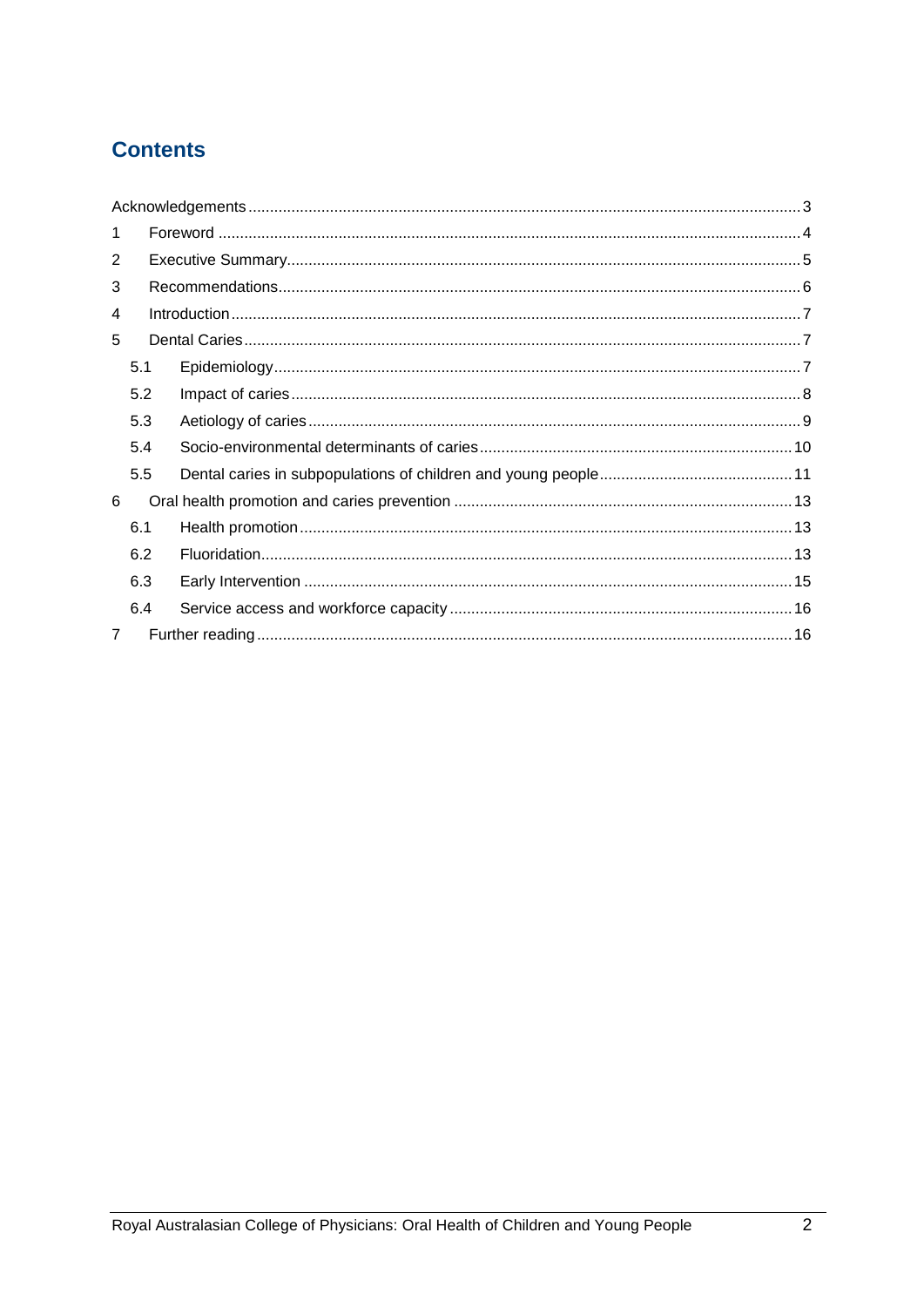# **Contents**

| $\mathbf{1}$ |     |  |  |  |
|--------------|-----|--|--|--|
| 2            |     |  |  |  |
| 3            |     |  |  |  |
| 4            |     |  |  |  |
| 5            |     |  |  |  |
|              | 5.1 |  |  |  |
|              | 5.2 |  |  |  |
|              | 5.3 |  |  |  |
|              | 5.4 |  |  |  |
|              | 5.5 |  |  |  |
| 6            |     |  |  |  |
|              | 6.1 |  |  |  |
|              | 6.2 |  |  |  |
|              | 6.3 |  |  |  |
|              | 6.4 |  |  |  |
| 7            |     |  |  |  |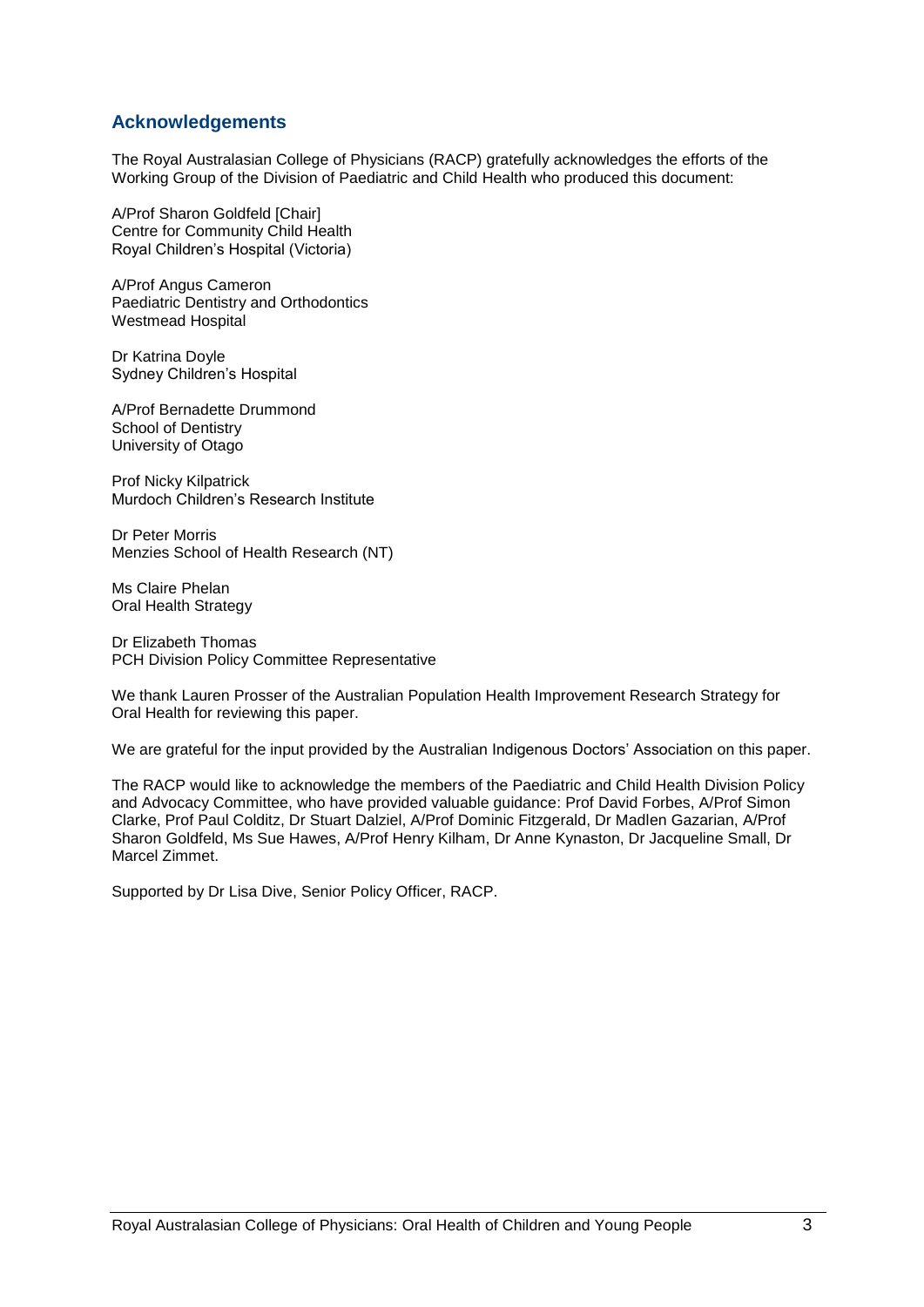#### <span id="page-2-0"></span>**Acknowledgements**

The Royal Australasian College of Physicians (RACP) gratefully acknowledges the efforts of the Working Group of the Division of Paediatric and Child Health who produced this document:

A/Prof Sharon Goldfeld [Chair] Centre for Community Child Health Royal Children"s Hospital (Victoria)

A/Prof Angus Cameron Paediatric Dentistry and Orthodontics Westmead Hospital

Dr Katrina Doyle Sydney Children"s Hospital

A/Prof Bernadette Drummond School of Dentistry University of Otago

Prof Nicky Kilpatrick Murdoch Children"s Research Institute

Dr Peter Morris Menzies School of Health Research (NT)

Ms Claire Phelan Oral Health Strategy

Dr Elizabeth Thomas PCH Division Policy Committee Representative

We thank Lauren Prosser of the Australian Population Health Improvement Research Strategy for Oral Health for reviewing this paper.

We are grateful for the input provided by the Australian Indigenous Doctors' Association on this paper.

The RACP would like to acknowledge the members of the Paediatric and Child Health Division Policy and Advocacy Committee, who have provided valuable guidance: Prof David Forbes, A/Prof Simon Clarke, Prof Paul Colditz, Dr Stuart Dalziel, A/Prof Dominic Fitzgerald, Dr Madlen Gazarian, A/Prof Sharon Goldfeld, Ms Sue Hawes, A/Prof Henry Kilham, Dr Anne Kynaston, Dr Jacqueline Small, Dr Marcel Zimmet.

Supported by Dr Lisa Dive, Senior Policy Officer, RACP.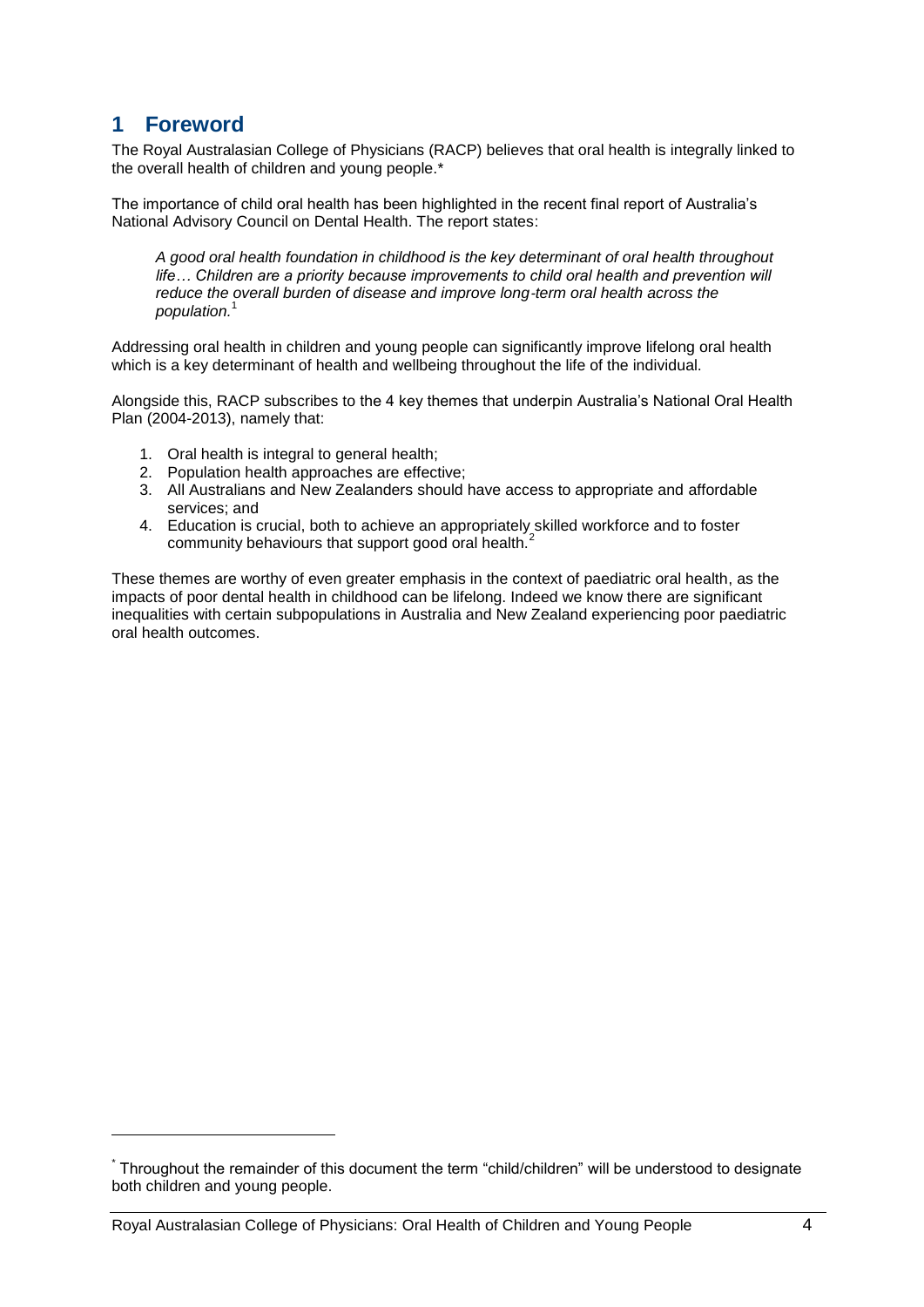# <span id="page-3-0"></span>**1 Foreword**

1

The Royal Australasian College of Physicians (RACP) believes that oral health is integrally linked to the overall health of children and young people.\*

The importance of child oral health has been highlighted in the recent final report of Australia"s National Advisory Council on Dental Health. The report states:

*A good oral health foundation in childhood is the key determinant of oral health throughout*  life... Children are a priority because improvements to child oral health and prevention will *reduce the overall burden of disease and improve long*‐*term oral health across the population.*<sup>1</sup>

Addressing oral health in children and young people can significantly improve lifelong oral health which is a key determinant of health and wellbeing throughout the life of the individual.

Alongside this, RACP subscribes to the 4 key themes that underpin Australia"s National Oral Health Plan (2004-2013), namely that:

- 1. Oral health is integral to general health;
- 2. Population health approaches are effective;
- 3. All Australians and New Zealanders should have access to appropriate and affordable services; and
- 4. Education is crucial, both to achieve an appropriately skilled workforce and to foster community behaviours that support good oral health.<sup>2</sup>

These themes are worthy of even greater emphasis in the context of paediatric oral health, as the impacts of poor dental health in childhood can be lifelong. Indeed we know there are significant inequalities with certain subpopulations in Australia and New Zealand experiencing poor paediatric oral health outcomes.

<sup>\*</sup> Throughout the remainder of this document the term "child/children" will be understood to designate both children and young people.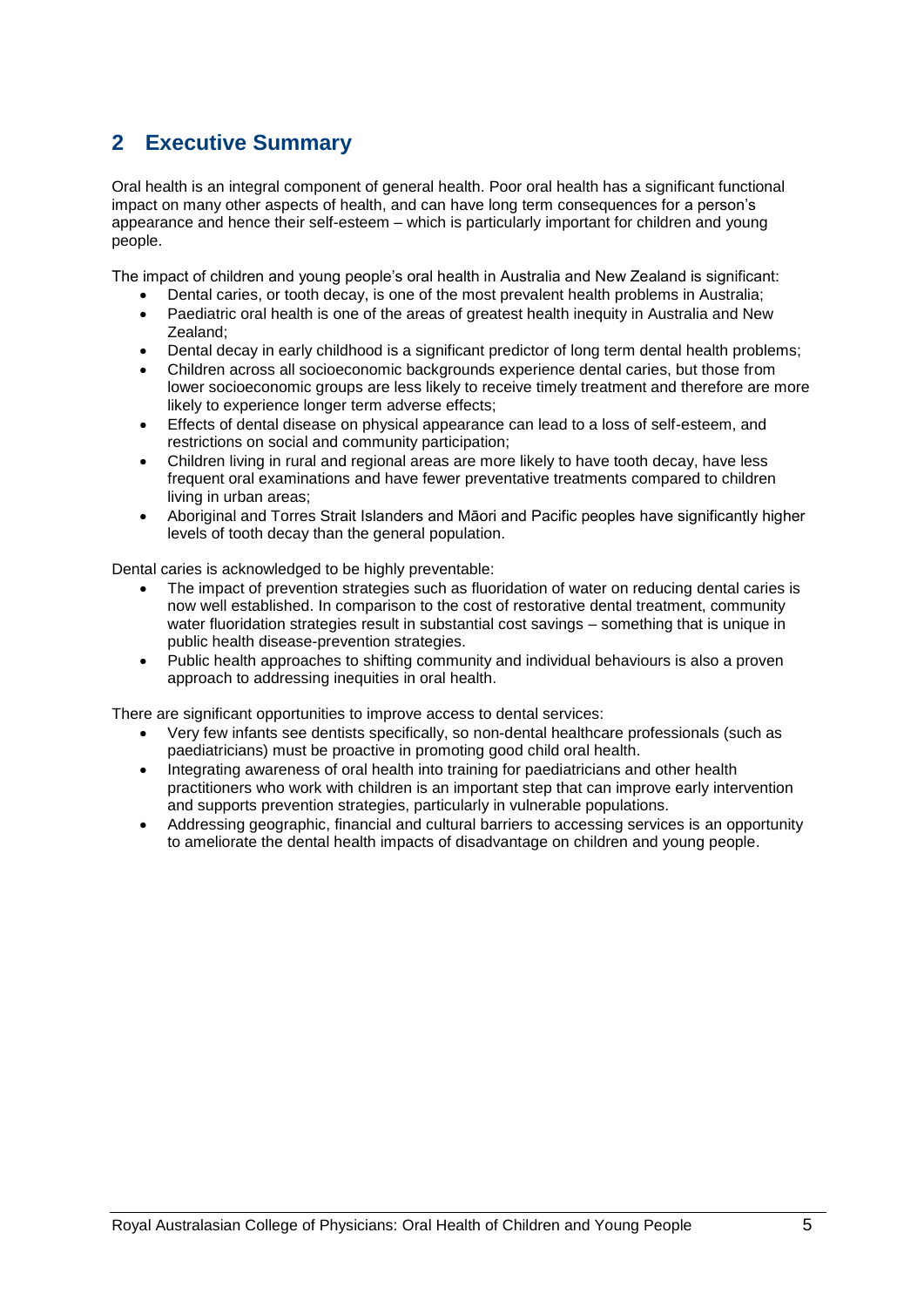# <span id="page-4-0"></span>**2 Executive Summary**

Oral health is an integral component of general health. Poor oral health has a significant functional impact on many other aspects of health, and can have long term consequences for a person"s appearance and hence their self-esteem – which is particularly important for children and young people.

The impact of children and young people"s oral health in Australia and New Zealand is significant:

- Dental caries, or tooth decay, is one of the most prevalent health problems in Australia;
- Paediatric oral health is one of the areas of greatest health inequity in Australia and New Zealand;
- Dental decay in early childhood is a significant predictor of long term dental health problems;
- Children across all socioeconomic backgrounds experience dental caries, but those from lower socioeconomic groups are less likely to receive timely treatment and therefore are more likely to experience longer term adverse effects;
- Effects of dental disease on physical appearance can lead to a loss of self-esteem, and restrictions on social and community participation;
- Children living in rural and regional areas are more likely to have tooth decay, have less frequent oral examinations and have fewer preventative treatments compared to children living in urban areas;
- Aboriginal and Torres Strait Islanders and Māori and Pacific peoples have significantly higher levels of tooth decay than the general population.

Dental caries is acknowledged to be highly preventable:

- The impact of prevention strategies such as fluoridation of water on reducing dental caries is now well established. In comparison to the cost of restorative dental treatment, community water fluoridation strategies result in substantial cost savings – something that is unique in public health disease-prevention strategies.
- Public health approaches to shifting community and individual behaviours is also a proven approach to addressing inequities in oral health.

There are significant opportunities to improve access to dental services:

- Very few infants see dentists specifically, so non-dental healthcare professionals (such as paediatricians) must be proactive in promoting good child oral health.
- Integrating awareness of oral health into training for paediatricians and other health practitioners who work with children is an important step that can improve early intervention and supports prevention strategies, particularly in vulnerable populations.
- Addressing geographic, financial and cultural barriers to accessing services is an opportunity to ameliorate the dental health impacts of disadvantage on children and young people.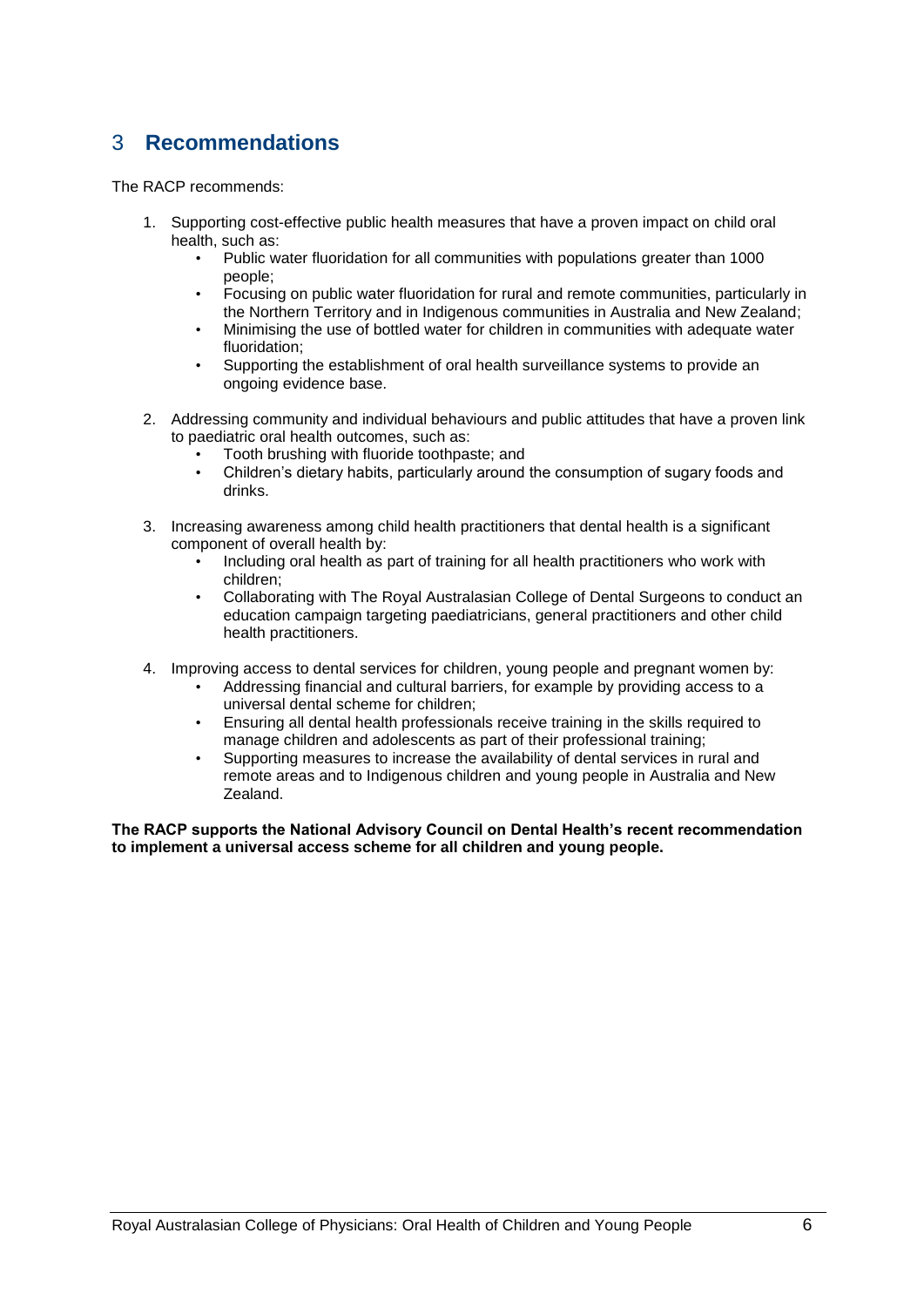# <span id="page-5-0"></span>3 **Recommendations**

The RACP recommends:

- 1. Supporting cost-effective public health measures that have a proven impact on child oral health, such as:
	- Public water fluoridation for all communities with populations greater than 1000 people;
	- Focusing on public water fluoridation for rural and remote communities, particularly in the Northern Territory and in Indigenous communities in Australia and New Zealand;
	- Minimising the use of bottled water for children in communities with adequate water fluoridation;
	- Supporting the establishment of oral health surveillance systems to provide an ongoing evidence base.
- 2. Addressing community and individual behaviours and public attitudes that have a proven link to paediatric oral health outcomes, such as:
	- Tooth brushing with fluoride toothpaste; and
	- Children"s dietary habits, particularly around the consumption of sugary foods and drinks.
- 3. Increasing awareness among child health practitioners that dental health is a significant component of overall health by:
	- Including oral health as part of training for all health practitioners who work with children;
	- Collaborating with The Royal Australasian College of Dental Surgeons to conduct an education campaign targeting paediatricians, general practitioners and other child health practitioners.
- 4. Improving access to dental services for children, young people and pregnant women by:
	- Addressing financial and cultural barriers, for example by providing access to a universal dental scheme for children;
	- Ensuring all dental health professionals receive training in the skills required to manage children and adolescents as part of their professional training;
	- Supporting measures to increase the availability of dental services in rural and remote areas and to Indigenous children and young people in Australia and New Zealand.

**The RACP supports the National Advisory Council on Dental Health's recent recommendation to implement a universal access scheme for all children and young people.**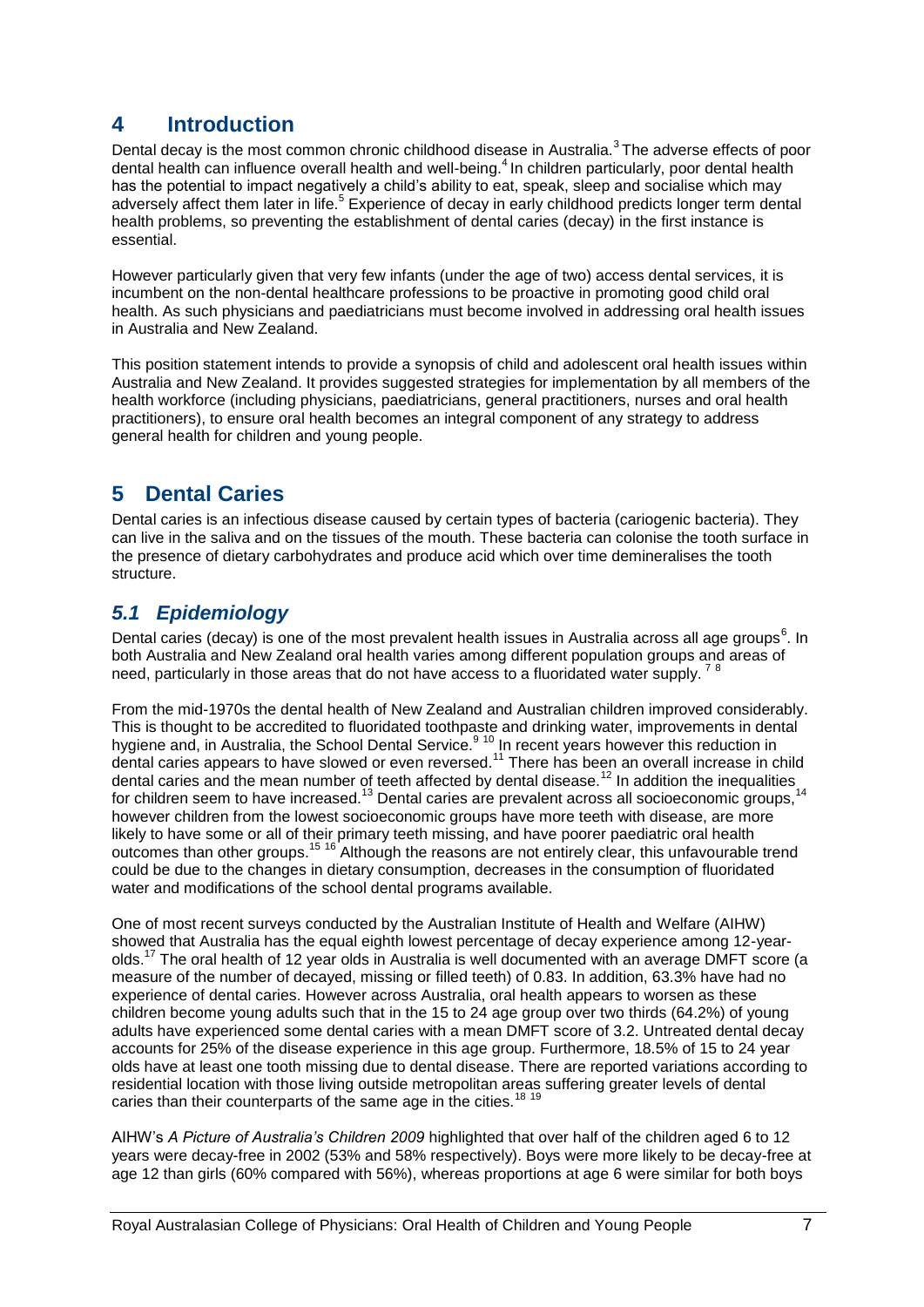# <span id="page-6-0"></span>**4 Introduction**

Dental decay is the most common chronic childhood disease in Australia.<sup>3</sup> The adverse effects of poor dental health can influence overall health and well-being.<sup>4</sup> In children particularly, poor dental health has the potential to impact negatively a child's ability to eat, speak, sleep and socialise which may adversely affect them later in life.<sup>5</sup> Experience of decay in early childhood predicts longer term dental health problems, so preventing the establishment of dental caries (decay) in the first instance is essential.

However particularly given that very few infants (under the age of two) access dental services, it is incumbent on the non-dental healthcare professions to be proactive in promoting good child oral health. As such physicians and paediatricians must become involved in addressing oral health issues in Australia and New Zealand.

This position statement intends to provide a synopsis of child and adolescent oral health issues within Australia and New Zealand. It provides suggested strategies for implementation by all members of the health workforce (including physicians, paediatricians, general practitioners, nurses and oral health practitioners), to ensure oral health becomes an integral component of any strategy to address general health for children and young people.

# <span id="page-6-1"></span>**5 Dental Caries**

Dental caries is an infectious disease caused by certain types of bacteria (cariogenic bacteria). They can live in the saliva and on the tissues of the mouth. These bacteria can colonise the tooth surface in the presence of dietary carbohydrates and produce acid which over time demineralises the tooth structure.

# <span id="page-6-2"></span>*5.1 Epidemiology*

Dental caries (decay) is one of the most prevalent health issues in Australia across all age groups<sup>6</sup>. In both Australia and New Zealand oral health varies among different population groups and areas of need, particularly in those areas that do not have access to a fluoridated water supply.  $78$ 

From the mid-1970s the dental health of New Zealand and Australian children improved considerably. This is thought to be accredited to fluoridated toothpaste and drinking water, improvements in dental hygiene and, in Australia, the School Dental Service.<sup>9 10</sup> In recent years however this reduction in dental caries appears to have slowed or even reversed.<sup>11</sup> There has been an overall increase in child dental caries appears to have slowed of even reversed.<br>dental caries and the mean number of teeth affected by dental disease.<sup>12</sup> In addition the inequalities for children seem to have increased.<sup>13</sup> Dental caries are prevalent across all socioeconomic groups, however children from the lowest socioeconomic groups have more teeth with disease, are more likely to have some or all of their primary teeth missing, and have poorer paediatric oral health outcomes than other groups.<sup>15</sup> <sup>16</sup> Although the reasons are not entirely clear, this unfavourable trend could be due to the changes in dietary consumption, decreases in the consumption of fluoridated water and modifications of the school dental programs available.

One of most recent surveys conducted by the Australian Institute of Health and Welfare (AIHW) showed that Australia has the equal eighth lowest percentage of decay experience among 12-yearolds.<sup>17</sup> The oral health of 12 year olds in Australia is well documented with an average DMFT score (a measure of the number of decayed, missing or filled teeth) of 0.83. In addition, 63.3% have had no experience of dental caries. However across Australia, oral health appears to worsen as these children become young adults such that in the 15 to 24 age group over two thirds (64.2%) of young adults have experienced some dental caries with a mean DMFT score of 3.2. Untreated dental decay accounts for 25% of the disease experience in this age group. Furthermore, 18.5% of 15 to 24 year olds have at least one tooth missing due to dental disease. There are reported variations according to residential location with those living outside metropolitan areas suffering greater levels of dental caries than their counterparts of the same age in the cities.<sup>18 19</sup>

AIHW"s *A Picture of Australia's Children 2009* highlighted that over half of the children aged 6 to 12 years were decay-free in 2002 (53% and 58% respectively). Boys were more likely to be decay-free at age 12 than girls (60% compared with 56%), whereas proportions at age 6 were similar for both boys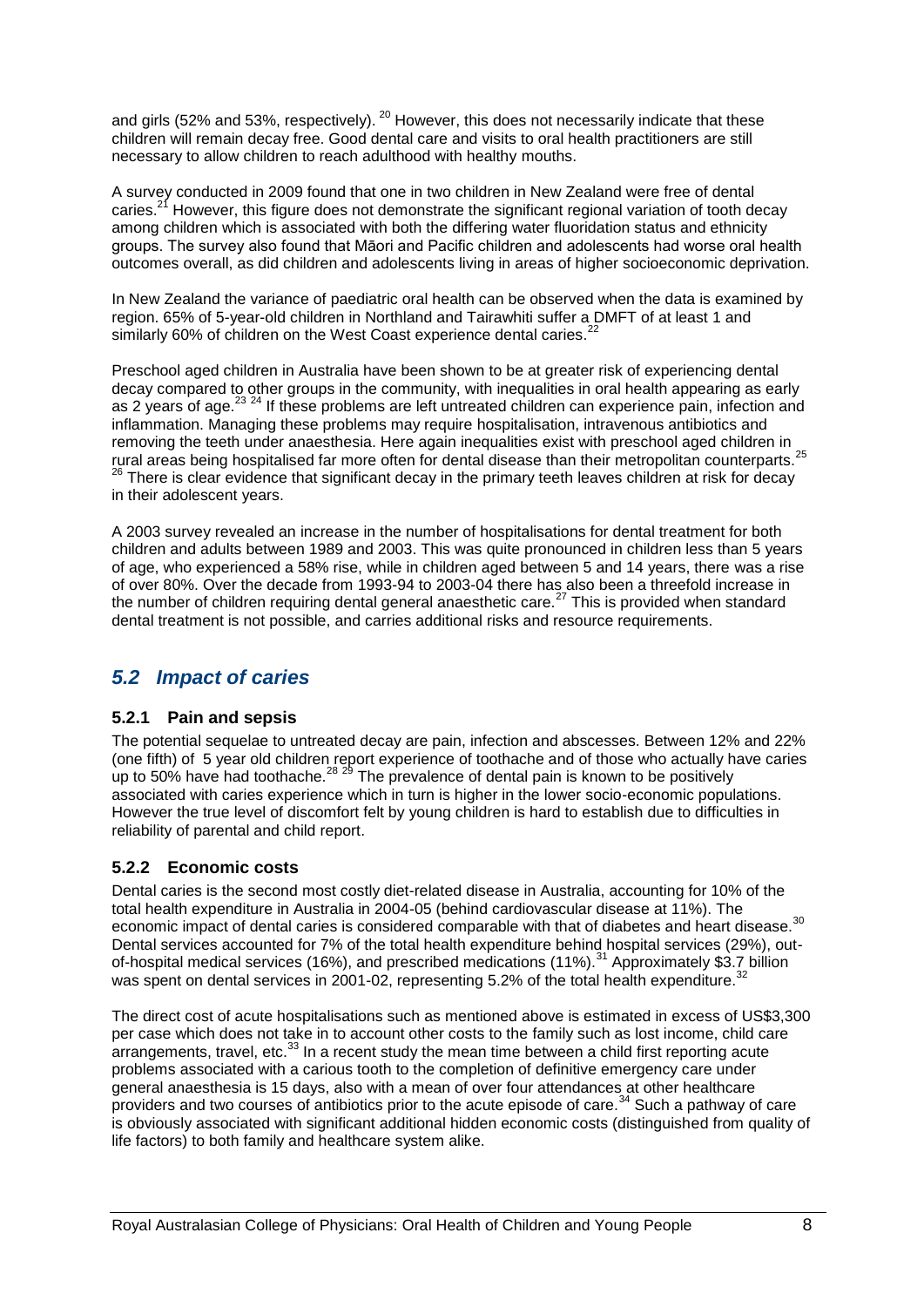and girls (52% and 53%, respectively).  $^{20}$  However, this does not necessarily indicate that these children will remain decay free. Good dental care and visits to oral health practitioners are still necessary to allow children to reach adulthood with healthy mouths.

A survey conducted in 2009 found that one in two children in New Zealand were free of dental caries.<sup>21</sup> However, this figure does not demonstrate the significant regional variation of tooth decay among children which is associated with both the differing water fluoridation status and ethnicity groups. The survey also found that Māori and Pacific children and adolescents had worse oral health outcomes overall, as did children and adolescents living in areas of higher socioeconomic deprivation.

In New Zealand the variance of paediatric oral health can be observed when the data is examined by region. 65% of 5-year-old children in Northland and Tairawhiti suffer a DMFT of at least 1 and similarly 60% of children on the West Coast experience dental caries.<sup>22</sup>

Preschool aged children in Australia have been shown to be at greater risk of experiencing dental decay compared to other groups in the community, with inequalities in oral health appearing as early as 2 years of age.<sup>23 24</sup> If these problems are left untreated children can experience pain, infection and inflammation. Managing these problems may require hospitalisation, intravenous antibiotics and removing the teeth under anaesthesia. Here again inequalities exist with preschool aged children in rural areas being hospitalised far more often for dental disease than their metropolitan counterparts.<sup>25</sup> <sup>26</sup> There is clear evidence that significant decay in the primary teeth leaves children at risk for decay in their adolescent years.

A 2003 survey revealed an increase in the number of hospitalisations for dental treatment for both children and adults between 1989 and 2003. This was quite pronounced in children less than 5 years of age, who experienced a 58% rise, while in children aged between 5 and 14 years, there was a rise of over 80%. Over the decade from 1993-94 to 2003-04 there has also been a threefold increase in the number of children requiring dental general anaesthetic care.<sup>27</sup> This is provided when standard dental treatment is not possible, and carries additional risks and resource requirements.

### <span id="page-7-0"></span>*5.2 Impact of caries*

#### **5.2.1 Pain and sepsis**

The potential sequelae to untreated decay are pain, infection and abscesses. Between 12% and 22% (one fifth) of 5 year old children report experience of toothache and of those who actually have caries up to 50% have had toothache.<sup>28 29</sup> The prevalence of dental pain is known to be positively associated with caries experience which in turn is higher in the lower socio-economic populations. However the true level of discomfort felt by young children is hard to establish due to difficulties in reliability of parental and child report.

#### **5.2.2 Economic costs**

Dental caries is the second most costly diet-related disease in Australia, accounting for 10% of the total health expenditure in Australia in 2004-05 (behind cardiovascular disease at 11%). The economic impact of dental caries is considered comparable with that of diabetes and heart disease.<sup>30</sup> Dental services accounted for 7% of the total health expenditure behind hospital services (29%), outof-hospital medical services (16%), and prescribed medications (11%).<sup>31</sup> Approximately \$3.7 billion was spent on dental services in 2001-02, representing 5.2% of the total health expenditure.<sup>3</sup>

The direct cost of acute hospitalisations such as mentioned above is estimated in excess of US\$3,300 per case which does not take in to account other costs to the family such as lost income, child care arrangements, travel, etc. $33$  In a recent study the mean time between a child first reporting acute problems associated with a carious tooth to the completion of definitive emergency care under general anaesthesia is 15 days, also with a mean of over four attendances at other healthcare providers and two courses of antibiotics prior to the acute episode of care.<sup>34</sup> Such a pathway of care is obviously associated with significant additional hidden economic costs (distinguished from quality of life factors) to both family and healthcare system alike.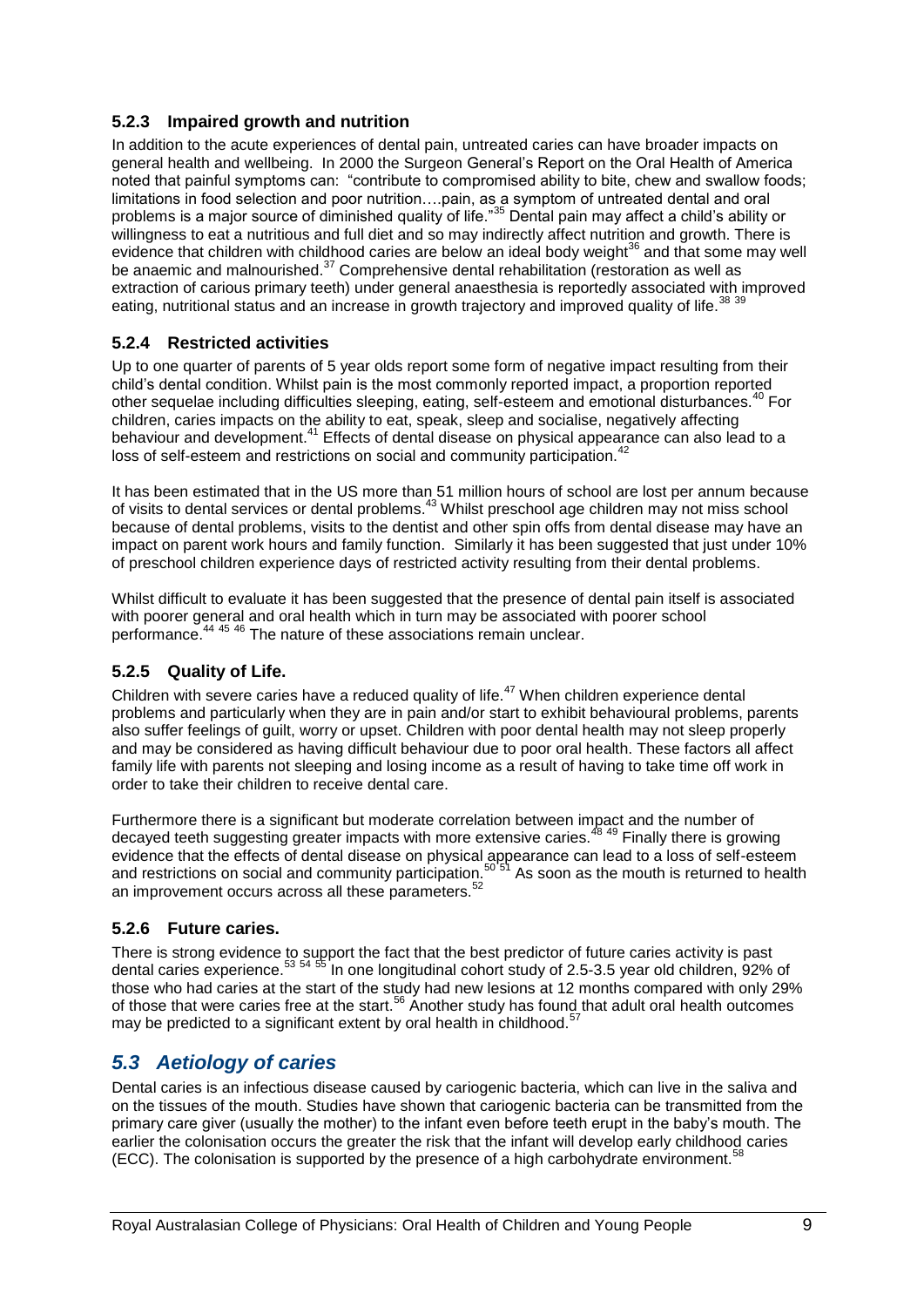#### **5.2.3 Impaired growth and nutrition**

In addition to the acute experiences of dental pain, untreated caries can have broader impacts on general health and wellbeing. In 2000 the Surgeon General"s Report on the Oral Health of America noted that painful symptoms can: "contribute to compromised ability to bite, chew and swallow foods; limitations in food selection and poor nutrition….pain, as a symptom of untreated dental and oral problems is a major source of diminished quality of life."<sup>35</sup> Dental pain may affect a child"s ability or willingness to eat a nutritious and full diet and so may indirectly affect nutrition and growth. There is evidence that children with childhood caries are below an ideal body weight<sup>36</sup> and that some may well be anaemic and malnourished.<sup>37</sup> Comprehensive dental rehabilitation (restoration as well as extraction of carious primary teeth) under general anaesthesia is reportedly associated with improved eating, nutritional status and an increase in growth trajectory and improved quality of life.<sup>38</sup> 39

#### **5.2.4 Restricted activities**

Up to one quarter of parents of 5 year olds report some form of negative impact resulting from their child"s dental condition. Whilst pain is the most commonly reported impact, a proportion reported other sequelae including difficulties sleeping, eating, self-esteem and emotional disturbances.<sup>40</sup> For children, caries impacts on the ability to eat, speak, sleep and socialise, negatively affecting behaviour and development.<sup>41</sup> Effects of dental disease on physical appearance can also lead to a loss of self-esteem and restrictions on social and community participation.<sup>4</sup>

It has been estimated that in the US more than 51 million hours of school are lost per annum because of visits to dental services or dental problems.<sup>43</sup> Whilst preschool age children may not miss school because of dental problems, visits to the dentist and other spin offs from dental disease may have an impact on parent work hours and family function. Similarly it has been suggested that just under 10% of preschool children experience days of restricted activity resulting from their dental problems.

Whilst difficult to evaluate it has been suggested that the presence of dental pain itself is associated with poorer general and oral health which in turn may be associated with poorer school performance.<sup>44 45</sup> <sup>46</sup> The nature of these associations remain unclear.

#### **5.2.5 Quality of Life.**

Children with severe caries have a reduced quality of life.<sup>47</sup> When children experience dental problems and particularly when they are in pain and/or start to exhibit behavioural problems, parents also suffer feelings of guilt, worry or upset. Children with poor dental health may not sleep properly and may be considered as having difficult behaviour due to poor oral health. These factors all affect family life with parents not sleeping and losing income as a result of having to take time off work in order to take their children to receive dental care.

Furthermore there is a significant but moderate correlation between impact and the number of decayed teeth suggesting greater impacts with more extensive caries.<sup>48</sup> <sup>49</sup> Finally there is growing evidence that the effects of dental disease on physical appearance can lead to a loss of self-esteem and restrictions on social and community participation.<sup>50'51</sup> As soon as the mouth is returned to health an improvement occurs across all these parameters.<sup>52</sup>

#### **5.2.6 Future caries.**

There is strong evidence to support the fact that the best predictor of future caries activity is past dental caries experience.<sup>53 54 55</sup> In one longitudinal cohort study of 2.5-3.5 year old children, 92% of those who had caries at the start of the study had new lesions at 12 months compared with only 29% of those that were caries free at the start.<sup>56</sup> Another study has found that adult oral health outcomes may be predicted to a significant extent by oral health in childhood.<sup>5</sup>

# <span id="page-8-0"></span>*5.3 Aetiology of caries*

Dental caries is an infectious disease caused by cariogenic bacteria, which can live in the saliva and on the tissues of the mouth. Studies have shown that cariogenic bacteria can be transmitted from the primary care giver (usually the mother) to the infant even before teeth erupt in the baby"s mouth. The earlier the colonisation occurs the greater the risk that the infant will develop early childhood caries (ECC). The colonisation is supported by the presence of a high carbohydrate environment.<sup>58</sup>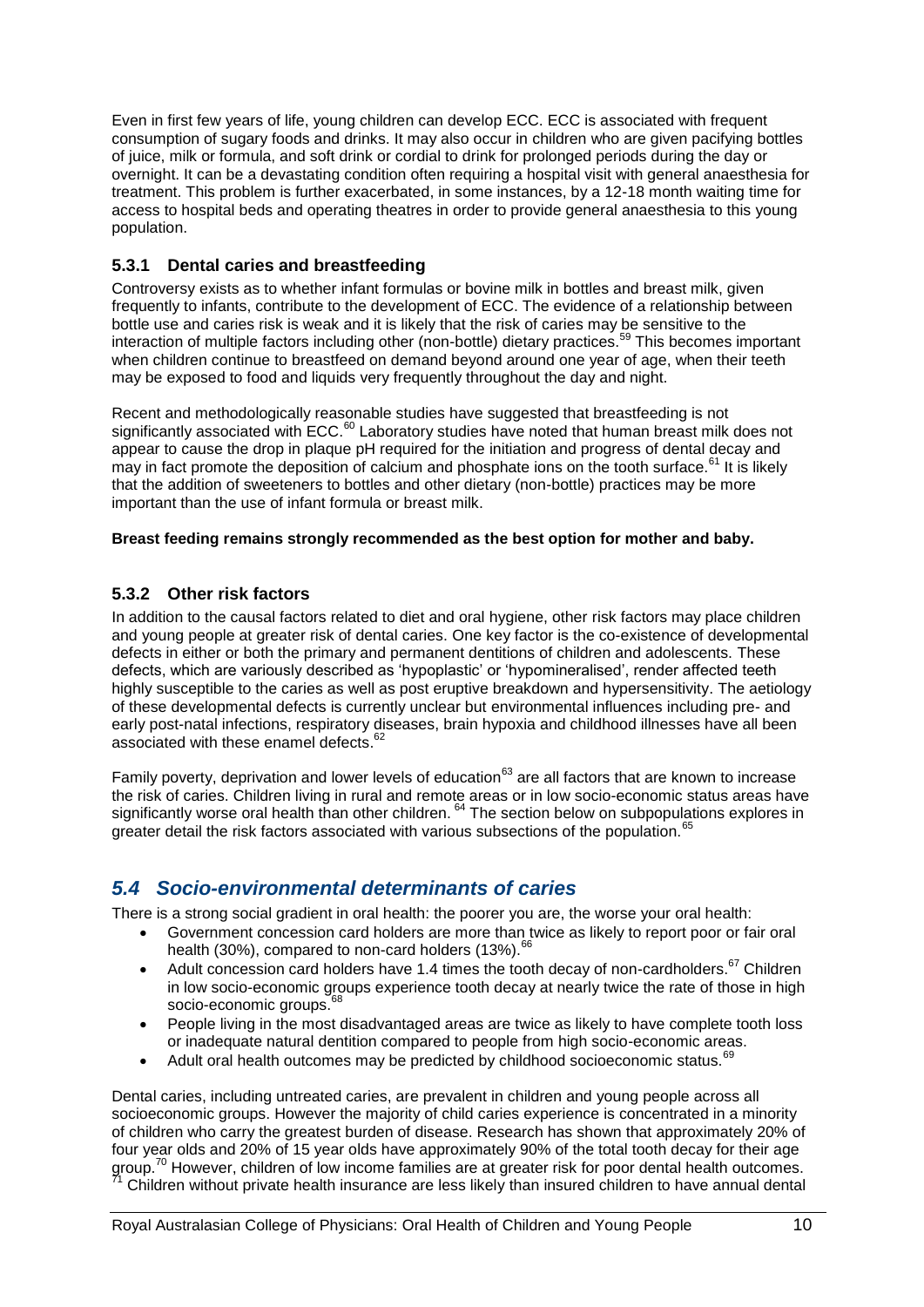Even in first few years of life, young children can develop ECC. ECC is associated with frequent consumption of sugary foods and drinks. It may also occur in children who are given pacifying bottles of juice, milk or formula, and soft drink or cordial to drink for prolonged periods during the day or overnight. It can be a devastating condition often requiring a hospital visit with general anaesthesia for treatment. This problem is further exacerbated, in some instances, by a 12-18 month waiting time for access to hospital beds and operating theatres in order to provide general anaesthesia to this young population.

#### **5.3.1 Dental caries and breastfeeding**

Controversy exists as to whether infant formulas or bovine milk in bottles and breast milk, given frequently to infants, contribute to the development of ECC. The evidence of a relationship between bottle use and caries risk is weak and it is likely that the risk of caries may be sensitive to the interaction of multiple factors including other (non-bottle) dietary practices.<sup>59</sup> This becomes important when children continue to breastfeed on demand beyond around one year of age, when their teeth may be exposed to food and liquids very frequently throughout the day and night.

Recent and methodologically reasonable studies have suggested that breastfeeding is not significantly associated with ECC.<sup>60</sup> Laboratory studies have noted that human breast milk does not appear to cause the drop in plaque pH required for the initiation and progress of dental decay and may in fact promote the deposition of calcium and phosphate ions on the tooth surface.<sup>61</sup> It is likely that the addition of sweeteners to bottles and other dietary (non-bottle) practices may be more important than the use of infant formula or breast milk.

#### **Breast feeding remains strongly recommended as the best option for mother and baby.**

#### **5.3.2 Other risk factors**

In addition to the causal factors related to diet and oral hygiene, other risk factors may place children and young people at greater risk of dental caries. One key factor is the co-existence of developmental defects in either or both the primary and permanent dentitions of children and adolescents. These defects, which are variously described as "hypoplastic" or "hypomineralised", render affected teeth highly susceptible to the caries as well as post eruptive breakdown and hypersensitivity. The aetiology of these developmental defects is currently unclear but environmental influences including pre- and early post-natal infections, respiratory diseases, brain hypoxia and childhood illnesses have all been associated with these enamel defects.<sup>62</sup>

Family poverty, deprivation and lower levels of education<sup>63</sup> are all factors that are known to increase the risk of caries. Children living in rural and remote areas or in low socio-economic status areas have significantly worse oral health than other children. <sup>64</sup> The section below on subpopulations explores in greater detail the risk factors associated with various subsections of the population.<sup>6</sup>

### <span id="page-9-0"></span>*5.4 Socio-environmental determinants of caries*

There is a strong social gradient in oral health: the poorer you are, the worse your oral health:

- Government concession card holders are more than twice as likely to report poor or fair oral health (30%), compared to non-card holders (13%).  $^{66}$
- Adult concession card holders have 1.4 times the tooth decay of non-cardholders.<sup>67</sup> Children in low socio-economic groups experience tooth decay at nearly twice the rate of those in high socio-economic groups.<sup>6</sup>
- People living in the most disadvantaged areas are twice as likely to have complete tooth loss or inadequate natural dentition compared to people from high socio-economic areas.
- Adult oral health outcomes may be predicted by childhood socioeconomic status.<sup>69</sup>

Dental caries, including untreated caries, are prevalent in children and young people across all socioeconomic groups. However the majority of child caries experience is concentrated in a minority of children who carry the greatest burden of disease. Research has shown that approximately 20% of four year olds and 20% of 15 year olds have approximately 90% of the total tooth decay for their age group.<sup>70</sup> However, children of low income families are at greater risk for poor dental health outcomes. <sup>71</sup> Children without private health insurance are less likely than insured children to have annual dental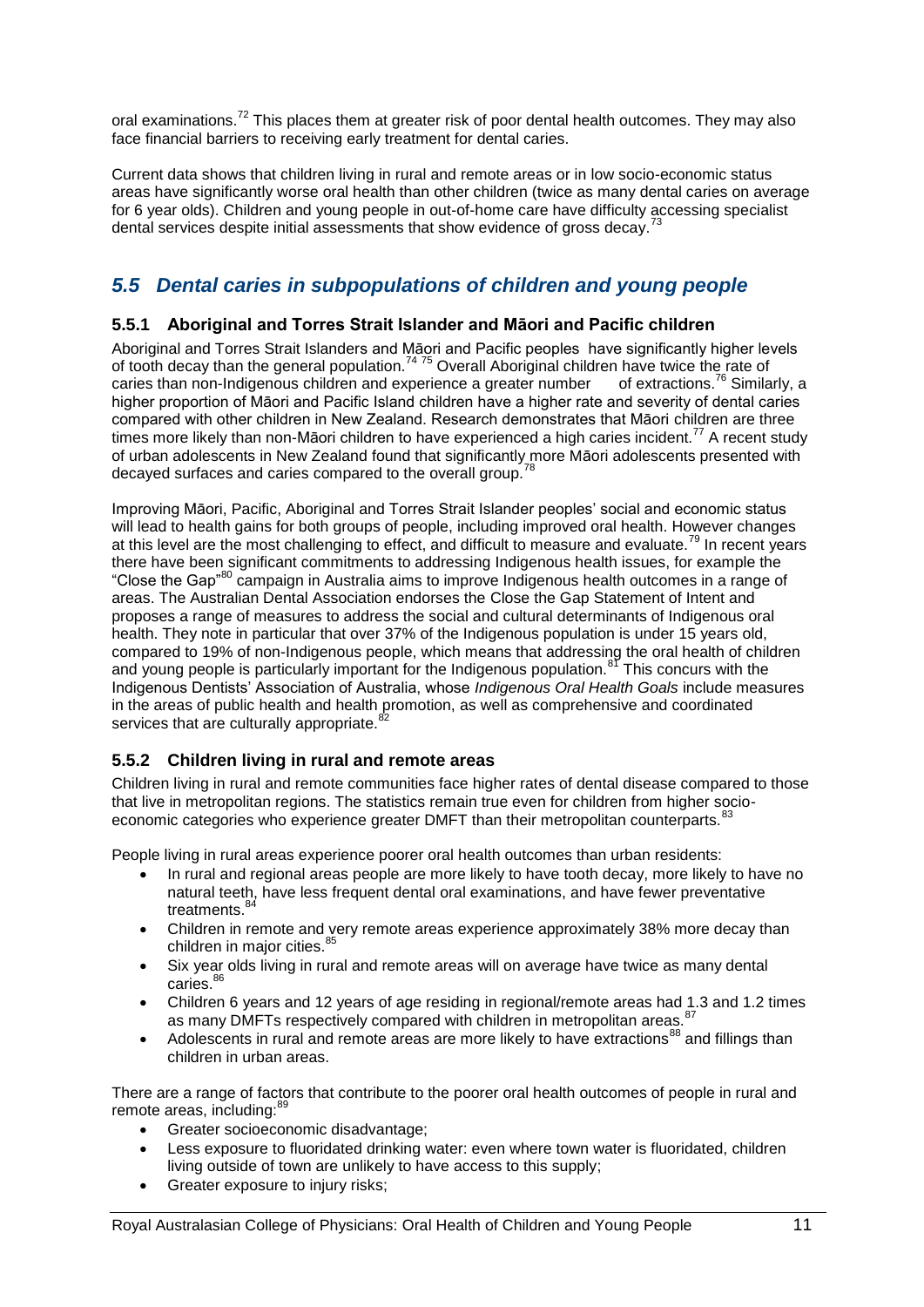oral examinations.<sup>72</sup> This places them at greater risk of poor dental health outcomes. They may also face financial barriers to receiving early treatment for dental caries.

Current data shows that children living in rural and remote areas or in low socio-economic status areas have significantly worse oral health than other children (twice as many dental caries on average for 6 year olds). Children and young people in out-of-home care have difficulty accessing specialist dental services despite initial assessments that show evidence of gross decay.<sup>73</sup>

# <span id="page-10-0"></span>*5.5 Dental caries in subpopulations of children and young people*

#### **5.5.1 Aboriginal and Torres Strait Islander and Māori and Pacific children**

Aboriginal and Torres Strait Islanders and Māori and Pacific peoples have significantly higher levels of tooth decay than the general population.<sup>74 75</sup> Overall Aboriginal children have twice the rate of caries than non-Indigenous children and experience a greater number of extractions.<sup>76</sup> Similarly, a higher proportion of Māori and Pacific Island children have a higher rate and severity of dental caries compared with other children in New Zealand. Research demonstrates that Māori children are three times more likely than non-Māori children to have experienced a high caries incident.<sup>77</sup> A recent study of urban adolescents in New Zealand found that significantly more Māori adolescents presented with decayed surfaces and caries compared to the overall group.<sup>7</sup>

Improving Māori, Pacific, Aboriginal and Torres Strait Islander peoples" social and economic status will lead to health gains for both groups of people, including improved oral health. However changes at this level are the most challenging to effect, and difficult to measure and evaluate.<sup>79</sup> In recent years there have been significant commitments to addressing Indigenous health issues, for example the "Close the Gap"<sup>80</sup> campaign in Australia aims to improve Indigenous health outcomes in a range of areas. The Australian Dental Association endorses the Close the Gap Statement of Intent and proposes a range of measures to address the social and cultural determinants of Indigenous oral health. They note in particular that over 37% of the Indigenous population is under 15 years old, compared to 19% of non-Indigenous people, which means that addressing the oral health of children and young people is particularly important for the Indigenous population.<sup>81</sup> This concurs with the Indigenous Dentists" Association of Australia, whose *Indigenous Oral Health Goals* include measures in the areas of public health and health promotion, as well as comprehensive and coordinated services that are culturally appropriate.<sup>8</sup>

#### **5.5.2 Children living in rural and remote areas**

Children living in rural and remote communities face higher rates of dental disease compared to those that live in metropolitan regions. The statistics remain true even for children from higher socioeconomic categories who experience greater DMFT than their metropolitan counterparts.<sup>8</sup>

People living in rural areas experience poorer oral health outcomes than urban residents:

- In rural and regional areas people are more likely to have tooth decay, more likely to have no natural teeth, have less frequent dental oral examinations, and have fewer preventative treatments.<sup>84</sup>
- Children in remote and very remote areas experience approximately 38% more decay than children in major cities.<sup>85</sup>
- Six year olds living in rural and remote areas will on average have twice as many dental caries.<sup>86</sup>
- Children 6 years and 12 years of age residing in regional/remote areas had 1.3 and 1.2 times as many DMFTs respectively compared with children in metropolitan areas. <sup>87</sup>
- Adolescents in rural and remote areas are more likely to have extractions<sup>88</sup> and fillings than children in urban areas.

There are a range of factors that contribute to the poorer oral health outcomes of people in rural and remote areas, including: $<sup>8</sup>$ </sup>

- Greater socioeconomic disadvantage;
- Less exposure to fluoridated drinking water: even where town water is fluoridated, children living outside of town are unlikely to have access to this supply;
- Greater exposure to injury risks;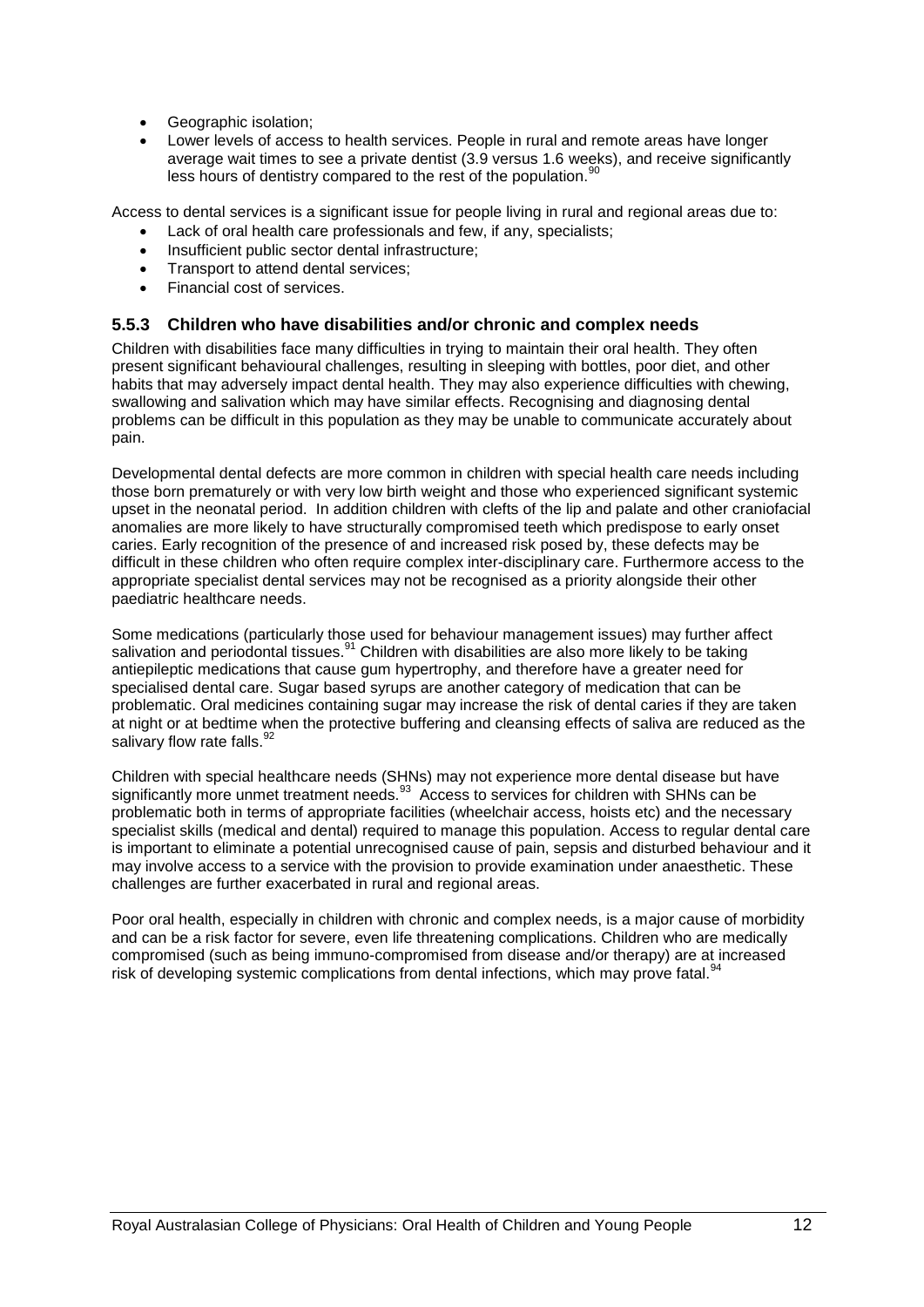- Geographic isolation;
- Lower levels of access to health services. People in rural and remote areas have longer average wait times to see a private dentist (3.9 versus 1.6 weeks), and receive significantly less hours of dentistry compared to the rest of the population.<sup>90</sup>

Access to dental services is a significant issue for people living in rural and regional areas due to:

- Lack of oral health care professionals and few, if any, specialists;
- Insufficient public sector dental infrastructure;
- Transport to attend dental services:
- Financial cost of services.

#### **5.5.3 Children who have disabilities and/or chronic and complex needs**

Children with disabilities face many difficulties in trying to maintain their oral health. They often present significant behavioural challenges, resulting in sleeping with bottles, poor diet, and other habits that may adversely impact dental health. They may also experience difficulties with chewing, swallowing and salivation which may have similar effects. Recognising and diagnosing dental problems can be difficult in this population as they may be unable to communicate accurately about pain.

Developmental dental defects are more common in children with special health care needs including those born prematurely or with very low birth weight and those who experienced significant systemic upset in the neonatal period. In addition children with clefts of the lip and palate and other craniofacial anomalies are more likely to have structurally compromised teeth which predispose to early onset caries. Early recognition of the presence of and increased risk posed by, these defects may be difficult in these children who often require complex inter-disciplinary care. Furthermore access to the appropriate specialist dental services may not be recognised as a priority alongside their other paediatric healthcare needs.

Some medications (particularly those used for behaviour management issues) may further affect salivation and periodontal tissues.<sup>91</sup> Children with disabilities are also more likely to be taking antiepileptic medications that cause gum hypertrophy, and therefore have a greater need for specialised dental care. Sugar based syrups are another category of medication that can be problematic. Oral medicines containing sugar may increase the risk of dental caries if they are taken at night or at bedtime when the protective buffering and cleansing effects of saliva are reduced as the salivary flow rate falls.<sup>92</sup>

Children with special healthcare needs (SHNs) may not experience more dental disease but have significantly more unmet treatment needs.<sup>93</sup> Access to services for children with SHNs can be problematic both in terms of appropriate facilities (wheelchair access, hoists etc) and the necessary specialist skills (medical and dental) required to manage this population. Access to regular dental care is important to eliminate a potential unrecognised cause of pain, sepsis and disturbed behaviour and it may involve access to a service with the provision to provide examination under anaesthetic. These challenges are further exacerbated in rural and regional areas.

<span id="page-11-0"></span>Poor oral health, especially in children with chronic and complex needs, is a major cause of morbidity and can be a risk factor for severe, even life threatening complications. Children who are medically compromised (such as being immuno-compromised from disease and/or therapy) are at increased risk of developing systemic complications from dental infections, which may prove fatal.<sup>9</sup>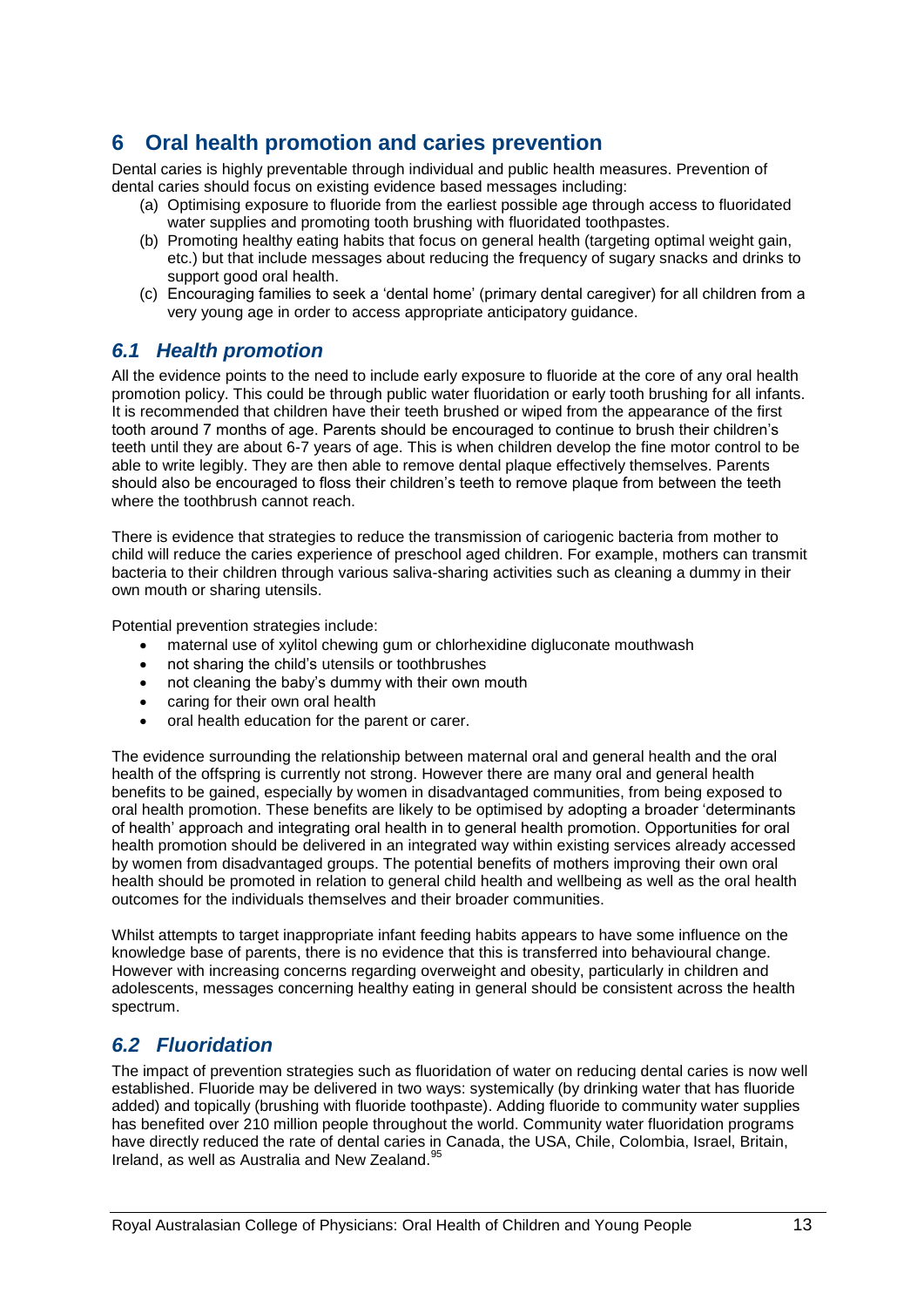# **6 Oral health promotion and caries prevention**

Dental caries is highly preventable through individual and public health measures. Prevention of dental caries should focus on existing evidence based messages including:

- (a) Optimising exposure to fluoride from the earliest possible age through access to fluoridated water supplies and promoting tooth brushing with fluoridated toothpastes.
- (b) Promoting healthy eating habits that focus on general health (targeting optimal weight gain, etc.) but that include messages about reducing the frequency of sugary snacks and drinks to support good oral health.
- (c) Encouraging families to seek a "dental home" (primary dental caregiver) for all children from a very young age in order to access appropriate anticipatory guidance.

### <span id="page-12-0"></span>*6.1 Health promotion*

All the evidence points to the need to include early exposure to fluoride at the core of any oral health promotion policy. This could be through public water fluoridation or early tooth brushing for all infants. It is recommended that children have their teeth brushed or wiped from the appearance of the first tooth around 7 months of age. Parents should be encouraged to continue to brush their children"s teeth until they are about 6-7 years of age. This is when children develop the fine motor control to be able to write legibly. They are then able to remove dental plaque effectively themselves. Parents should also be encouraged to floss their children"s teeth to remove plaque from between the teeth where the toothbrush cannot reach.

There is evidence that strategies to reduce the transmission of cariogenic bacteria from mother to child will reduce the caries experience of preschool aged children. For example, mothers can transmit bacteria to their children through various saliva-sharing activities such as cleaning a dummy in their own mouth or sharing utensils.

Potential prevention strategies include:

- maternal use of xylitol chewing gum or chlorhexidine digluconate mouthwash
- not sharing the child"s utensils or toothbrushes
- not cleaning the baby"s dummy with their own mouth
- caring for their own oral health
- oral health education for the parent or carer.

The evidence surrounding the relationship between maternal oral and general health and the oral health of the offspring is currently not strong. However there are many oral and general health benefits to be gained, especially by women in disadvantaged communities, from being exposed to oral health promotion. These benefits are likely to be optimised by adopting a broader "determinants of health" approach and integrating oral health in to general health promotion. Opportunities for oral health promotion should be delivered in an integrated way within existing services already accessed by women from disadvantaged groups. The potential benefits of mothers improving their own oral health should be promoted in relation to general child health and wellbeing as well as the oral health outcomes for the individuals themselves and their broader communities.

Whilst attempts to target inappropriate infant feeding habits appears to have some influence on the knowledge base of parents, there is no evidence that this is transferred into behavioural change. However with increasing concerns regarding overweight and obesity, particularly in children and adolescents, messages concerning healthy eating in general should be consistent across the health spectrum.

### <span id="page-12-1"></span>*6.2 Fluoridation*

The impact of prevention strategies such as fluoridation of water on reducing dental caries is now well established. Fluoride may be delivered in two ways: systemically (by drinking water that has fluoride added) and topically (brushing with fluoride toothpaste). Adding fluoride to community water supplies has benefited over 210 million people throughout the world. Community water fluoridation programs have directly reduced the rate of dental caries in Canada, the USA, Chile, Colombia, Israel, Britain, Ireland, as well as Australia and New Zealand. $<sup>5</sup>$ </sup>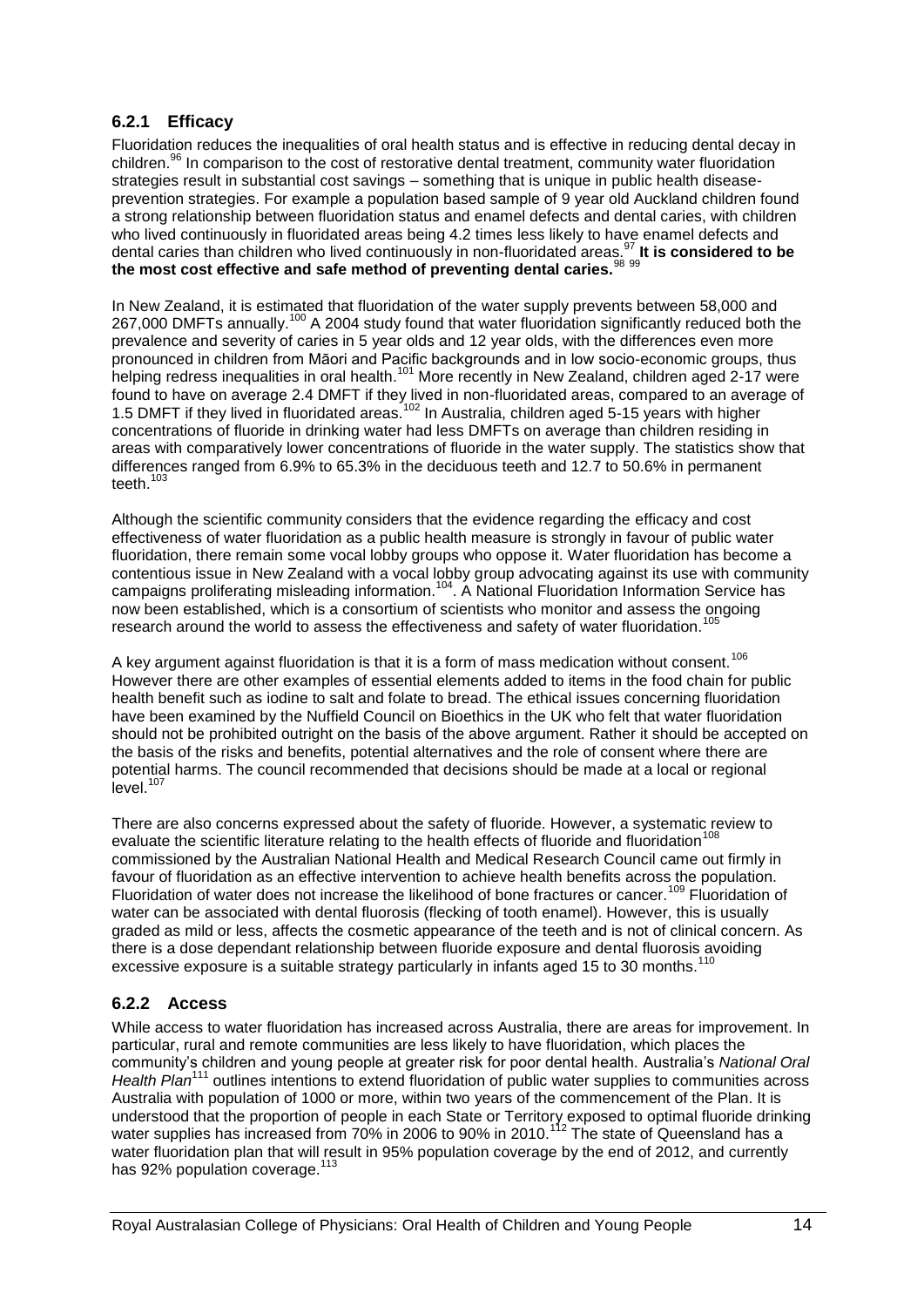#### **6.2.1 Efficacy**

Fluoridation reduces the inequalities of oral health status and is effective in reducing dental decay in children.<sup>96</sup> In comparison to the cost of restorative dental treatment, community water fluoridation strategies result in substantial cost savings – something that is unique in public health diseaseprevention strategies. For example a population based sample of 9 year old Auckland children found a strong relationship between fluoridation status and enamel defects and dental caries, with children who lived continuously in fluoridated areas being 4.2 times less likely to have enamel defects and dental caries than children who lived continuously in non-fluoridated areas.<sup>97</sup> **It is considered to be the most cost effective and safe method of preventing dental caries.**<sup>98</sup> <sup>99</sup>

In New Zealand, it is estimated that fluoridation of the water supply prevents between 58,000 and 267,000 DMFTs annually.<sup>100</sup> A 2004 study found that water fluoridation significantly reduced both the prevalence and severity of caries in 5 year olds and 12 year olds, with the differences even more pronounced in children from Māori and Pacific backgrounds and in low socio-economic groups, thus helping redress inequalities in oral health.<sup>101</sup> More recently in New Zealand, children aged 2-17 were found to have on average 2.4 DMFT if they lived in non-fluoridated areas, compared to an average of 1.5 DMFT if they lived in fluoridated areas.<sup>102</sup> In Australia, children aged 5-15 years with higher concentrations of fluoride in drinking water had less DMFTs on average than children residing in areas with comparatively lower concentrations of fluoride in the water supply. The statistics show that differences ranged from 6.9% to 65.3% in the deciduous teeth and 12.7 to 50.6% in permanent teeth.<sup>103</sup>

Although the scientific community considers that the evidence regarding the efficacy and cost effectiveness of water fluoridation as a public health measure is strongly in favour of public water fluoridation, there remain some vocal lobby groups who oppose it. Water fluoridation has become a contentious issue in New Zealand with a vocal lobby group advocating against its use with community campaigns proliferating misleading information.<sup>104</sup>. A National Fluoridation Information Service has now been established, which is a consortium of scientists who monitor and assess the ongoing research around the world to assess the effectiveness and safety of water fluoridation.<sup>105</sup>

A key argument against fluoridation is that it is a form of mass medication without consent.<sup>106</sup> However there are other examples of essential elements added to items in the food chain for public health benefit such as iodine to salt and folate to bread. The ethical issues concerning fluoridation have been examined by the Nuffield Council on Bioethics in the UK who felt that water fluoridation should not be prohibited outright on the basis of the above argument. Rather it should be accepted on the basis of the risks and benefits, potential alternatives and the role of consent where there are potential harms. The council recommended that decisions should be made at a local or regional level. 107

There are also concerns expressed about the safety of fluoride. However, a systematic review to evaluate the scientific literature relating to the health effects of fluoride and fluoridation<sup>108</sup> commissioned by the Australian National Health and Medical Research Council came out firmly in favour of fluoridation as an effective intervention to achieve health benefits across the population. Fluoridation of water does not increase the likelihood of bone fractures or cancer.<sup>109</sup> Fluoridation of water can be associated with dental fluorosis (flecking of tooth enamel). However, this is usually graded as mild or less, affects the cosmetic appearance of the teeth and is not of clinical concern. As there is a dose dependant relationship between fluoride exposure and dental fluorosis avoiding excessive exposure is a suitable strategy particularly in infants aged 15 to 30 months.<sup>110</sup>

#### **6.2.2 Access**

While access to water fluoridation has increased across Australia, there are areas for improvement. In particular, rural and remote communities are less likely to have fluoridation, which places the community"s children and young people at greater risk for poor dental health. Australia"s *National Oral Health Plan*<sup>111</sup> outlines intentions to extend fluoridation of public water supplies to communities across Australia with population of 1000 or more, within two years of the commencement of the Plan. It is understood that the proportion of people in each State or Territory exposed to optimal fluoride drinking water supplies has increased from 70% in 2006 to 90% in 2010.<sup>112</sup> The state of Queensland has a water fluoridation plan that will result in 95% population coverage by the end of 2012, and currently has 92% population coverage.<sup>113</sup>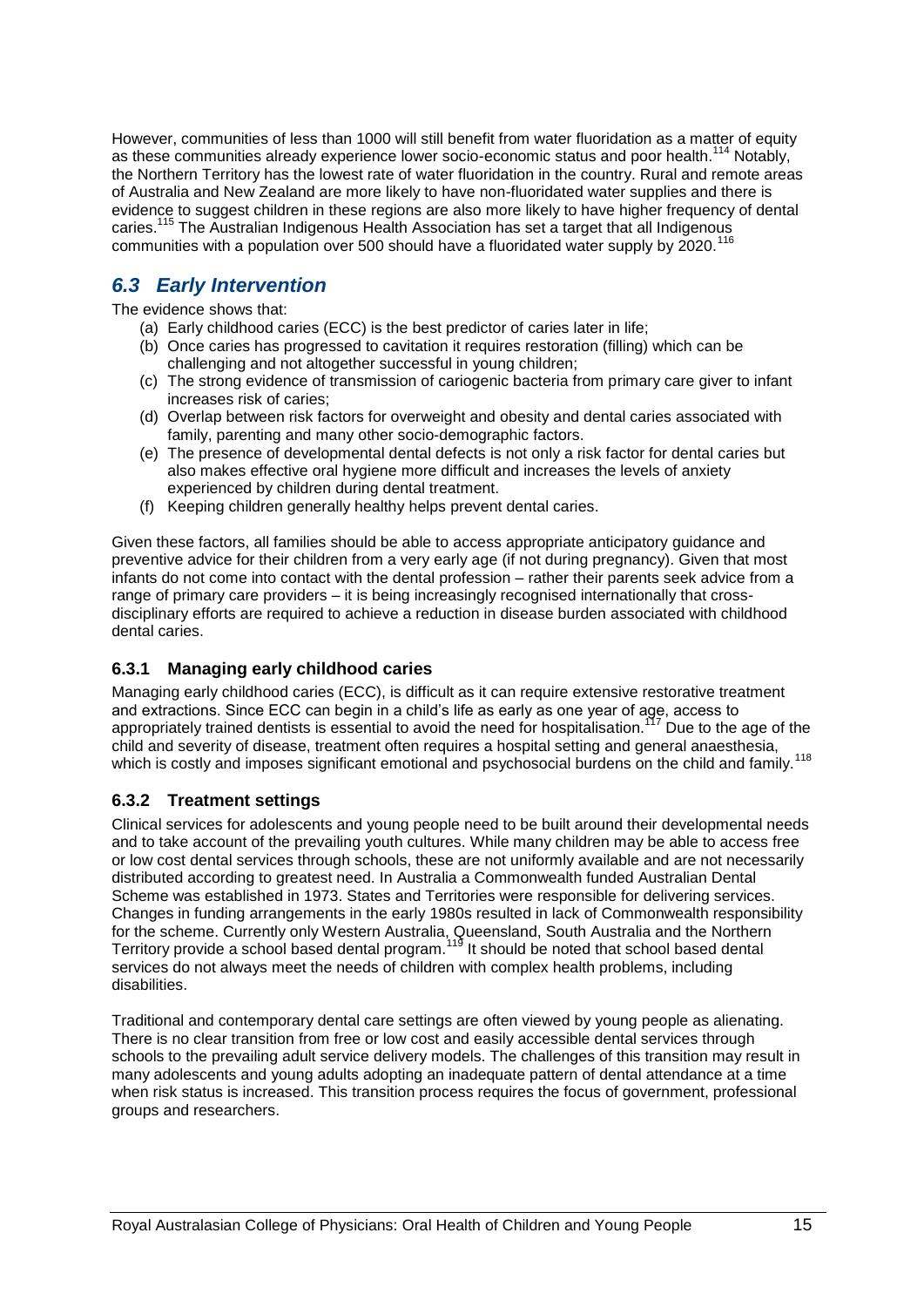However, communities of less than 1000 will still benefit from water fluoridation as a matter of equity as these communities already experience lower socio-economic status and poor health.<sup>114</sup> Notably, the Northern Territory has the lowest rate of water fluoridation in the country. Rural and remote areas of Australia and New Zealand are more likely to have non-fluoridated water supplies and there is evidence to suggest children in these regions are also more likely to have higher frequency of dental caries.<sup>115</sup> The Australian Indigenous Health Association has set a target that all Indigenous communities with a population over 500 should have a fluoridated water supply by 2020.<sup>116</sup>

# <span id="page-14-0"></span>*6.3 Early Intervention*

The evidence shows that:

- (a) Early childhood caries (ECC) is the best predictor of caries later in life;
- (b) Once caries has progressed to cavitation it requires restoration (filling) which can be challenging and not altogether successful in young children;
- (c) The strong evidence of transmission of cariogenic bacteria from primary care giver to infant increases risk of caries;
- (d) Overlap between risk factors for overweight and obesity and dental caries associated with family, parenting and many other socio-demographic factors.
- (e) The presence of developmental dental defects is not only a risk factor for dental caries but also makes effective oral hygiene more difficult and increases the levels of anxiety experienced by children during dental treatment.
- (f) Keeping children generally healthy helps prevent dental caries.

Given these factors, all families should be able to access appropriate anticipatory guidance and preventive advice for their children from a very early age (if not during pregnancy). Given that most infants do not come into contact with the dental profession – rather their parents seek advice from a range of primary care providers – it is being increasingly recognised internationally that crossdisciplinary efforts are required to achieve a reduction in disease burden associated with childhood dental caries.

#### **6.3.1 Managing early childhood caries**

Managing early childhood caries (ECC), is difficult as it can require extensive restorative treatment and extractions. Since ECC can begin in a child"s life as early as one year of age, access to appropriately trained dentists is essential to avoid the need for hospitalisation.<sup>117</sup> Due to the age of the child and severity of disease, treatment often requires a hospital setting and general anaesthesia, which is costly and imposes significant emotional and psychosocial burdens on the child and family.<sup>118</sup>

#### **6.3.2 Treatment settings**

Clinical services for adolescents and young people need to be built around their developmental needs and to take account of the prevailing youth cultures. While many children may be able to access free or low cost dental services through schools, these are not uniformly available and are not necessarily distributed according to greatest need. In Australia a Commonwealth funded Australian Dental Scheme was established in 1973. States and Territories were responsible for delivering services. Changes in funding arrangements in the early 1980s resulted in lack of Commonwealth responsibility for the scheme. Currently only Western Australia, Queensland, South Australia and the Northern Territory provide a school based dental program.<sup>119</sup> It should be noted that school based dental services do not always meet the needs of children with complex health problems, including disabilities.

Traditional and contemporary dental care settings are often viewed by young people as alienating. There is no clear transition from free or low cost and easily accessible dental services through schools to the prevailing adult service delivery models. The challenges of this transition may result in many adolescents and young adults adopting an inadequate pattern of dental attendance at a time when risk status is increased. This transition process requires the focus of government, professional groups and researchers.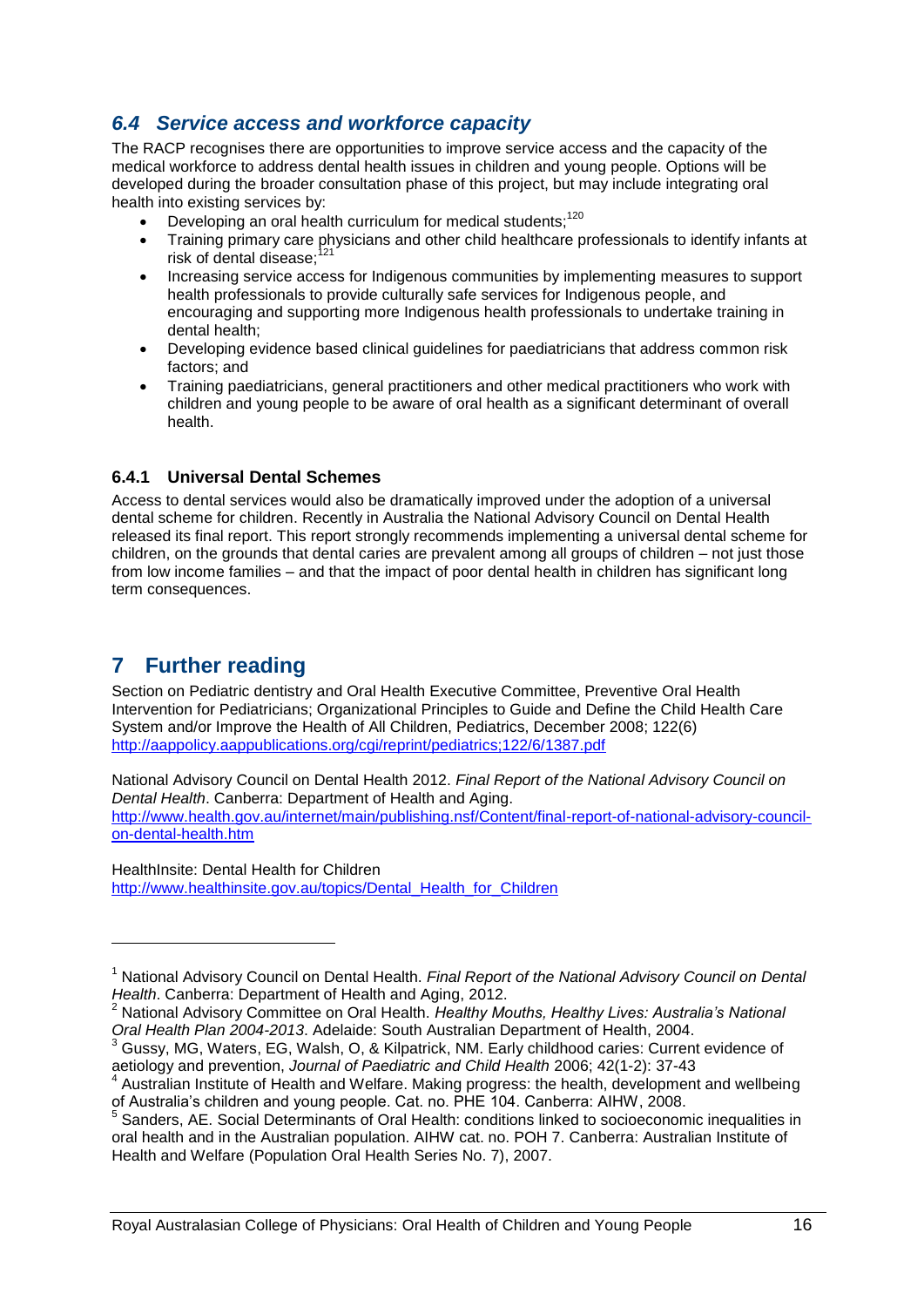# <span id="page-15-0"></span>*6.4 Service access and workforce capacity*

The RACP recognises there are opportunities to improve service access and the capacity of the medical workforce to address dental health issues in children and young people. Options will be developed during the broader consultation phase of this project, but may include integrating oral health into existing services by:

- Developing an oral health curriculum for medical students;<sup>120</sup>
- Training primary care physicians and other child healthcare professionals to identify infants at risk of dental disease;
- Increasing service access for Indigenous communities by implementing measures to support health professionals to provide culturally safe services for Indigenous people, and encouraging and supporting more Indigenous health professionals to undertake training in dental health;
- Developing evidence based clinical guidelines for paediatricians that address common risk factors; and
- Training paediatricians, general practitioners and other medical practitioners who work with children and young people to be aware of oral health as a significant determinant of overall health.

#### **6.4.1 Universal Dental Schemes**

Access to dental services would also be dramatically improved under the adoption of a universal dental scheme for children. Recently in Australia the National Advisory Council on Dental Health released its final report. This report strongly recommends implementing a universal dental scheme for children, on the grounds that dental caries are prevalent among all groups of children – not just those from low income families – and that the impact of poor dental health in children has significant long term consequences.

# <span id="page-15-1"></span>**7 Further reading**

-

Section on Pediatric dentistry and Oral Health Executive Committee, Preventive Oral Health Intervention for Pediatricians; Organizational Principles to Guide and Define the Child Health Care System and/or Improve the Health of All Children, Pediatrics, December 2008; 122(6) <http://aappolicy.aappublications.org/cgi/reprint/pediatrics;122/6/1387.pdf>

National Advisory Council on Dental Health 2012. *Final Report of the National Advisory Council on Dental Health*. Canberra: Department of Health and Aging. [http://www.health.gov.au/internet/main/publishing.nsf/Content/final-report-of-national-advisory-council](http://www.health.gov.au/internet/main/publishing.nsf/Content/final-report-of-national-advisory-council-on-dental-health.htm)[on-dental-health.htm](http://www.health.gov.au/internet/main/publishing.nsf/Content/final-report-of-national-advisory-council-on-dental-health.htm)

HealthInsite: Dental Health for Children [http://www.healthinsite.gov.au/topics/Dental\\_Health\\_for\\_Children](http://www.healthinsite.gov.au/topics/Dental_Health_for_Children)

<sup>1</sup> National Advisory Council on Dental Health. *Final Report of the National Advisory Council on Dental Health*. Canberra: Department of Health and Aging, 2012.

<sup>2</sup> National Advisory Committee on Oral Health. *Healthy Mouths, Healthy Lives: Australia's National Oral Health Plan 2004-2013*. Adelaide: South Australian Department of Health, 2004.

<sup>3</sup> Gussy, MG, Waters, EG, Walsh, O, & Kilpatrick, NM. Early childhood caries: Current evidence of aetiology and prevention, *Journal of Paediatric and Child Health* 2006; 42(1-2): 37-43

<sup>4</sup> Australian Institute of Health and Welfare. Making progress: the health, development and wellbeing of Australia"s children and young people. Cat. no. PHE 104. Canberra: AIHW, 2008. 5

Sanders, AE. Social Determinants of Oral Health: conditions linked to socioeconomic inequalities in oral health and in the Australian population. AIHW cat. no. POH 7. Canberra: Australian Institute of Health and Welfare (Population Oral Health Series No. 7), 2007.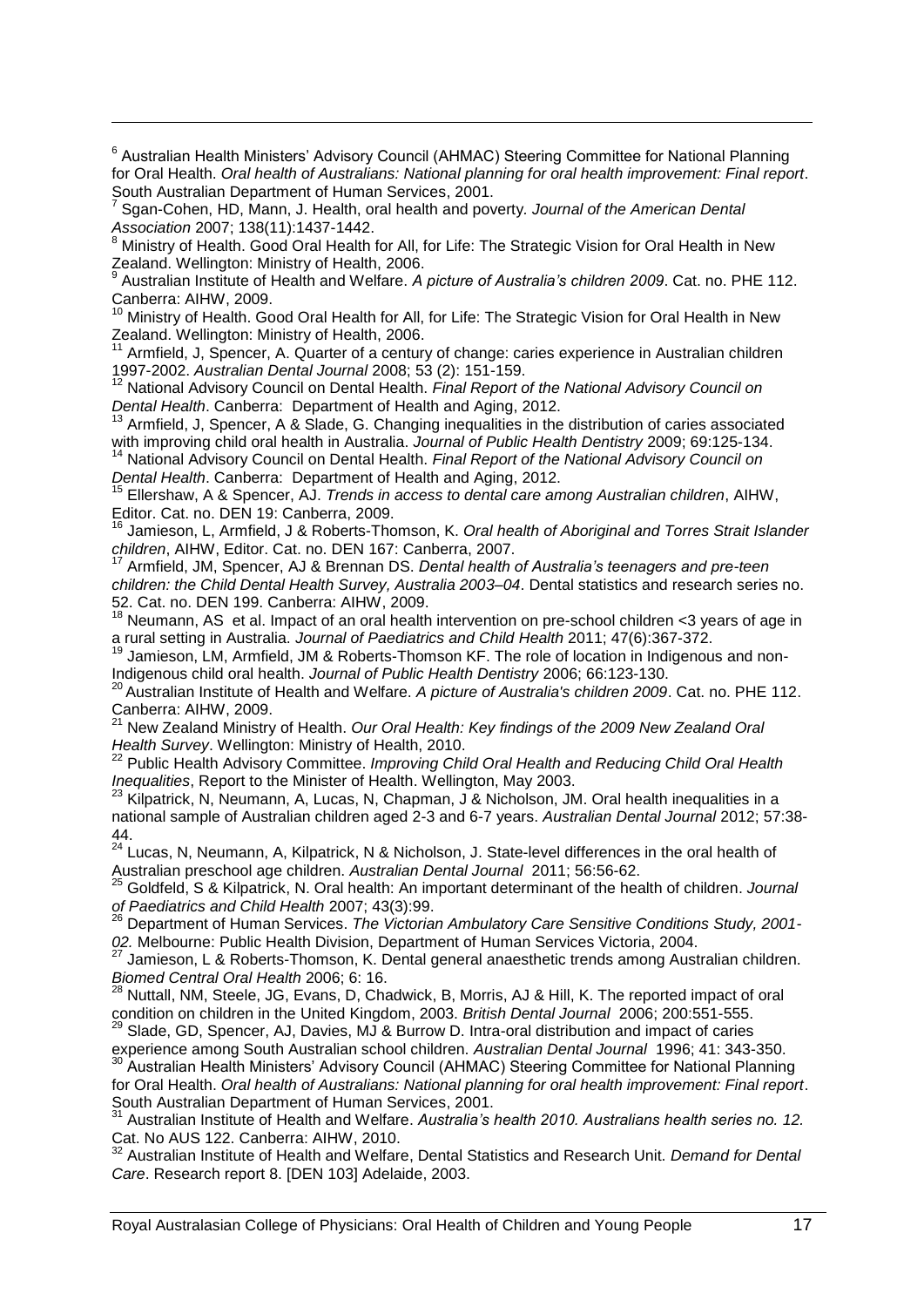<sup>6</sup> Australian Health Ministers' Advisory Council (AHMAC) Steering Committee for National Planning for Oral Health. *Oral health of Australians: National planning for oral health improvement: Final report*. South Australian Department of Human Services, 2001. 7

Sgan-Cohen, HD, Mann, J. Health, oral health and poverty*. Journal of the American Dental Association* 2007; 138(11):1437-1442.

-

<sup>8</sup> Ministry of Health. Good Oral Health for All, for Life: The Strategic Vision for Oral Health in New Zealand. Wellington: Ministry of Health, 2006. 9

Australian Institute of Health and Welfare. *A picture of Australia's children 2009*. Cat. no. PHE 112. Canberra: AIHW, 2009.

Ministry of Health. Good Oral Health for All, for Life: The Strategic Vision for Oral Health in New Zealand. Wellington: Ministry of Health, 2006.

Armfield, J. Spencer, A. Quarter of a century of change: caries experience in Australian children 1997-2002. *Australian Dental Journal* 2008; 53 (2): 151-159.

<sup>12</sup> National Advisory Council on Dental Health. *Final Report of the National Advisory Council on Dental Health*. Canberra: Department of Health and Aging, 2012.

Armfield, J, Spencer, A & Slade, G. Changing inequalities in the distribution of caries associated with improving child oral health in Australia. *Journal of Public Health Dentistry* 2009; 69:125-134.

<sup>14</sup> National Advisory Council on Dental Health. *Final Report of the National Advisory Council on Dental Health*. Canberra: Department of Health and Aging, 2012.

<sup>15</sup> Ellershaw, A & Spencer, AJ. *Trends in access to dental care among Australian children*, AIHW, Editor. Cat. no. DEN 19: Canberra, 2009.

<sup>16</sup> Jamieson, L, Armfield, J & Roberts-Thomson, K. *Oral health of Aboriginal and Torres Strait Islander children*, AIHW, Editor. Cat. no. DEN 167: Canberra, 2007.

<sup>17</sup> Armfield, JM, Spencer, AJ & Brennan DS. *Dental health of Australia's teenagers and pre-teen children: the Child Dental Health Survey, Australia 2003–04*. Dental statistics and research series no. 52. Cat. no. DEN 199. Canberra: AIHW, 2009.

 $18$  Neumann, AS et al. Impact of an oral health intervention on pre-school children < 3 years of age in a rural setting in Australia. *Journal of Paediatrics and Child Health* 2011; 47(6):367-372.

<sup>19</sup> Jamieson, LM, Armfield, JM & Roberts-Thomson KF. The role of location in Indigenous and non-Indigenous child oral health. *Journal of Public Health Dentistry* 2006; 66:123-130.

<sup>20</sup> Australian Institute of Health and Welfare. *A picture of Australia's children 2009*. Cat. no. PHE 112. Canberra: AIHW, 2009.

<sup>21</sup> New Zealand Ministry of Health. *Our Oral Health: Key findings of the 2009 New Zealand Oral Health Survey*. Wellington: Ministry of Health, 2010.

<sup>22</sup> Public Health Advisory Committee. *Improving Child Oral Health and Reducing Child Oral Health Inequalities*, Report to the Minister of Health. Wellington, May 2003.

 $^{23}$  Kilpatrick, N, Neumann, A, Lucas, N, Chapman, J & Nicholson, JM. Oral health inequalities in a national sample of Australian children aged 2-3 and 6-7 years. *Australian Dental Journal* 2012; 57:38- 44.

 $24$  Lucas, N, Neumann, A, Kilpatrick, N & Nicholson, J. State-level differences in the oral health of Australian preschool age children. *Australian Dental Journal* 2011; 56:56-62. <sup>25</sup> Goldfeld, S & Kilpatrick, N. Oral health: An important determinant of the health of children. *Journal* 

*of Paediatrics and Child Health* 2007; 43(3):99.

<sup>26</sup> Department of Human Services. *The Victorian Ambulatory Care Sensitive Conditions Study, 2001- 02.* Melbourne: Public Health Division, Department of Human Services Victoria, 2004.

 $27$  Jamieson, L & Roberts-Thomson, K. Dental general anaesthetic trends among Australian children. *Biomed Central Oral Health 2006; 6: 16*.<br><sup>28</sup> Nutto<sup>n</sup> NMA C:

<sup>28</sup> Nuttall, NM, Steele, JG, Evans, D, Chadwick, B, Morris, AJ & Hill, K. The reported impact of oral condition on children in the United Kingdom, 2003. *British Dental Journal* 2006; 200:551-555.

<sup>29</sup> Slade, GD, Spencer, AJ, Davies, MJ & Burrow D. Intra-oral distribution and impact of caries experience among South Australian school children. *Australian Dental Journal* 1996; 41: 343-350.

<sup>30</sup> Australian Health Ministers' Advisory Council (AHMAC) Steering Committee for National Planning for Oral Health. *Oral health of Australians: National planning for oral health improvement: Final report*. South Australian Department of Human Services, 2001.

<sup>31</sup> Australian Institute of Health and Welfare. *Australia's health 2010. Australians health series no. 12.* Cat. No AUS 122. Canberra: AIHW, 2010.

<sup>32</sup> Australian Institute of Health and Welfare, Dental Statistics and Research Unit. *Demand for Dental Care*. Research report 8. [DEN 103] Adelaide, 2003.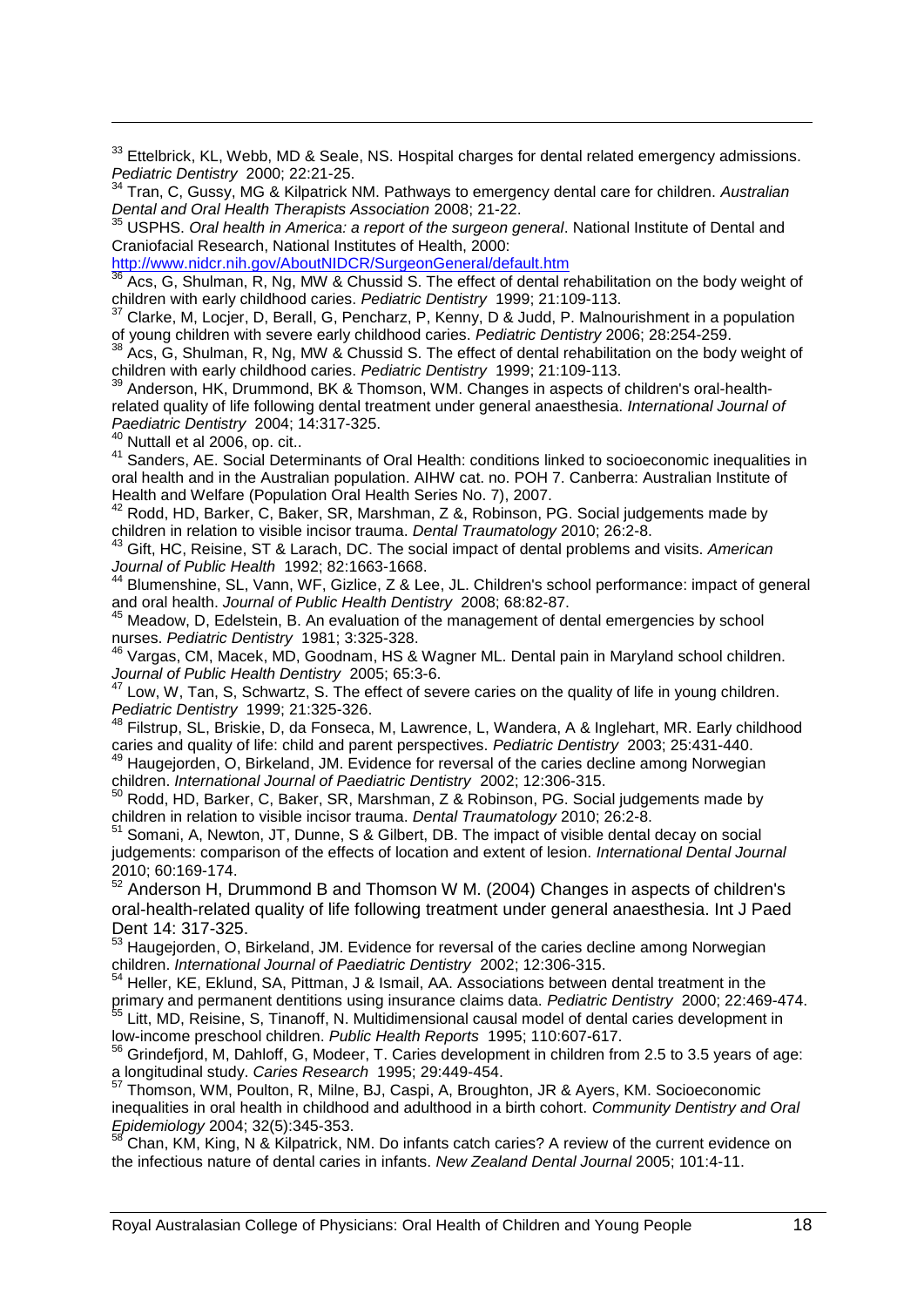<sup>33</sup> Ettelbrick, KL, Webb, MD & Seale, NS. Hospital charges for dental related emergency admissions. *Pediatric Dentistry* 2000; 22:21-25.

<sup>34</sup> Tran, C, Gussy, MG & Kilpatrick NM. Pathways to emergency dental care for children. *Australian Dental and Oral Health Therapists Association* 2008; 21-22.

<sup>35</sup> USPHS. *Oral health in America: a report of the surgeon general*. National Institute of Dental and Craniofacial Research, National Institutes of Health, 2000:

<http://www.nidcr.nih.gov/AboutNIDCR/SurgeonGeneral/default.htm>

Acs, G, Shulman, R, Ng, MW & Chussid S, The effect of dental rehabilitation on the body weight of children with early childhood caries. *Pediatric Dentistry* 1999; 21:109-113.

<sup>37</sup> Clarke, M, Locjer, D, Berall, G, Pencharz, P, Kenny, D & Judd, P. Malnourishment in a population of young children with severe early childhood caries. *Pediatric Dentistry* 2006; 28:254-259.

<sup>38</sup> Acs, G, Shulman, R, Ng, MW & Chussid S. The effect of dental rehabilitation on the body weight of children with early childhood caries. *Pediatric Dentistry* 1999; 21:109-113.

<sup>39</sup> Anderson, HK, Drummond, BK & Thomson, WM. Changes in aspects of children's oral-healthrelated quality of life following dental treatment under general anaesthesia. *International Journal of Paediatric Dentistry* 2004; 14:317-325.

 $\frac{1}{40}$  Nuttall et al 2006, op. cit..

-

<sup>41</sup> Sanders, AE. Social Determinants of Oral Health: conditions linked to socioeconomic inequalities in oral health and in the Australian population. AIHW cat. no. POH 7. Canberra: Australian Institute of Health and Welfare (Population Oral Health Series No. 7), 2007.

<sup>42</sup> Rodd, HD, Barker, C, Baker, SR, Marshman, Z &, Robinson, PG. Social judgements made by children in relation to visible incisor trauma. *Dental Traumatology* 2010; 26:2-8.

<sup>43</sup> Gift, HC, Reisine, ST & Larach, DC. The social impact of dental problems and visits. *American Journal of Public Health* 1992; 82:1663-1668.

<sup>44</sup> Blumenshine, SL, Vann, WF, Gizlice, Z & Lee, JL. Children's school performance: impact of general and oral health. *Journal of Public Health Dentistry* 2008; 68:82-87.

 $45$  Meadow, D, Edelstein, B. An evaluation of the management of dental emergencies by school nurses. *Pediatric Dentistry* 1981; 3:325-328.

<sup>46</sup> Vargas, CM, Macek, MD, Goodnam, HS & Wagner ML. Dental pain in Maryland school children. *Journal of Public Health Dentistry* 2005; 65:3-6.

Low, W, Tan, S, Schwartz, S. The effect of severe caries on the quality of life in young children. *Pediatric Dentistry* 1999; 21:325-326.

<sup>48</sup> Filstrup, SL, Briskie, D, da Fonseca, M, Lawrence, L, Wandera, A & Inglehart, MR. Early childhood caries and quality of life: child and parent perspectives. *Pediatric Dentistry* 2003; 25:431-440.

<sup>49</sup> Haugejorden, O, Birkeland, JM. Evidence for reversal of the caries decline among Norwegian children. *International Journal of Paediatric Dentistry* 2002; 12:306-315.

 $50$  Rodd, HD, Barker, C, Baker, SR, Marshman, Z & Robinson, PG. Social judgements made by children in relation to visible incisor trauma. *Dental Traumatology* 2010; 26:2-8.

<sup>51</sup> Somani, A, Newton, JT, Dunne, S & Gilbert, DB. The impact of visible dental decay on social judgements: comparison of the effects of location and extent of lesion. *International Dental Journal* 2010; 60:169-174.

<sup>52</sup> Anderson H, Drummond B and Thomson W M. (2004) Changes in aspects of children's oral-health-related quality of life following treatment under general anaesthesia. Int J Paed Dent 14: 317-325.

<sup>53</sup> Haugejorden, O, Birkeland, JM. Evidence for reversal of the caries decline among Norwegian children. *International Journal of Paediatric Dentistry* 2002; 12:306-315.

<sup>54</sup> Heller, KE, Eklund, SA, Pittman, J & Ismail, AA. Associations between dental treatment in the primary and permanent dentitions using insurance claims data. *Pediatric Dentistry* 2000; 22:469-474. <sup>55</sup> Litt, MD, Reisine, S, Tinanoff, N. Multidimensional causal model of dental caries development in low-income preschool children. *Public Health Reports* 1995; 110:607-617.

<sup>56</sup> Grindefjord, M, Dahloff, G, Modeer, T. Caries development in children from 2.5 to 3.5 years of age: a longitudinal study. *Caries Research* 1995; 29:449-454.

<sup>57</sup> Thomson, WM, Poulton, R, Milne, BJ, Caspi, A, Broughton, JR & Ayers, KM. Socioeconomic inequalities in oral health in childhood and adulthood in a birth cohort. *Community Dentistry and Oral Epidemiology* 2004; 32(5):345-353.

 $58$  Chan, KM, King, N & Kilpatrick, NM. Do infants catch caries? A review of the current evidence on the infectious nature of dental caries in infants. *New Zealand Dental Journal* 2005; 101:4-11.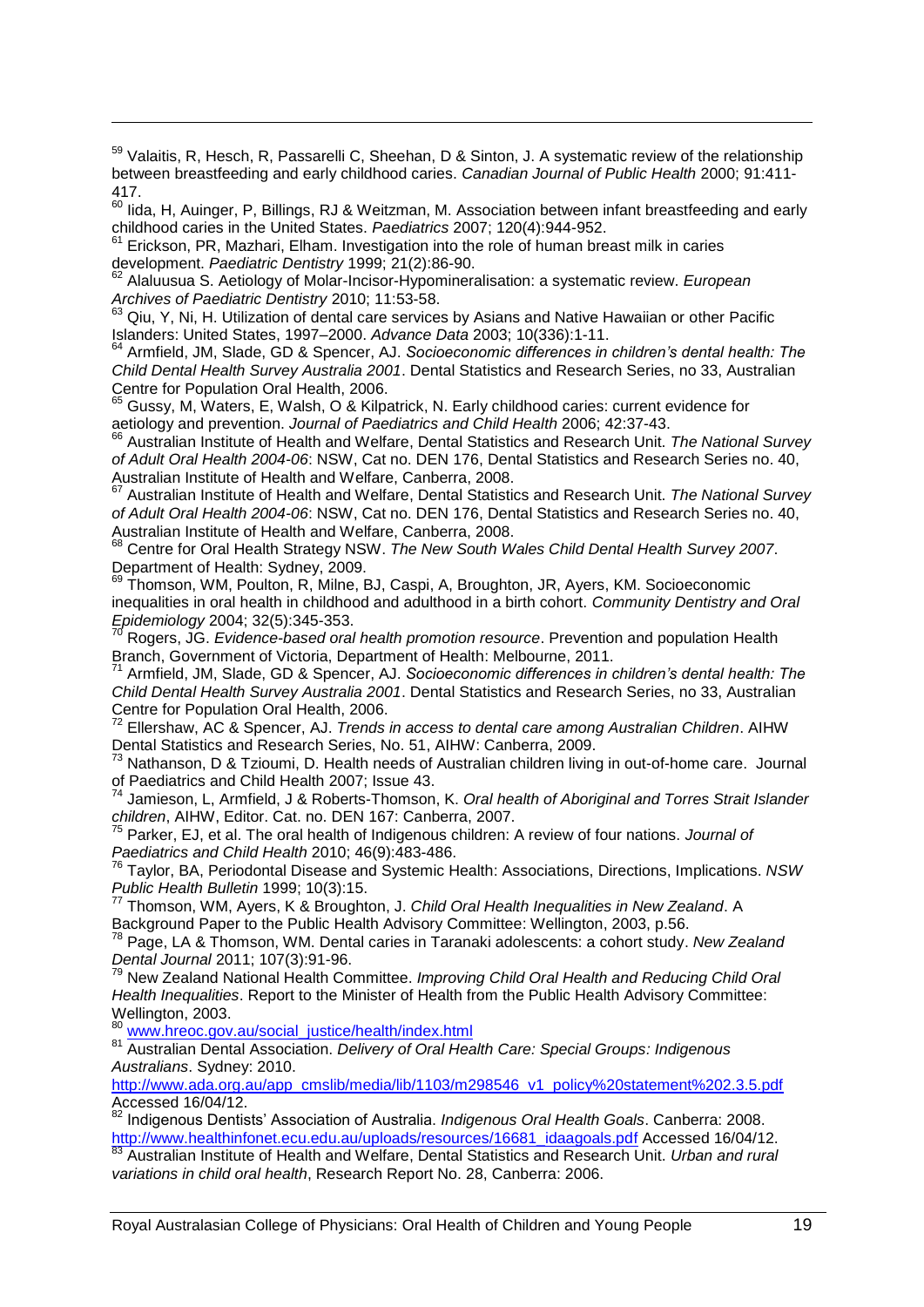<sup>59</sup> Valaitis, R, Hesch, R, Passarelli C, Sheehan, D & Sinton, J. A systematic review of the relationship between breastfeeding and early childhood caries. *Canadian Journal of Public Health* 2000; 91:411- 417.

lida, H, Auinger, P, Billings, RJ & Weitzman, M. Association between infant breastfeeding and early childhood caries in the United States. *Paediatrics* 2007; 120(4):944-952.

Erickson, PR, Mazhari, Elham. Investigation into the role of human breast milk in caries development. *Paediatric Dentistry* 1999; 21(2):86-90.

-

<sup>62</sup> Alaluusua S. Aetiology of Molar-Incisor-Hypomineralisation: a systematic review. *European Archives of Paediatric Dentistry* 2010; 11:53-58.

<sup>63</sup> Qiu, Y, Ni, H. Utilization of dental care services by Asians and Native Hawaiian or other Pacific Islanders: United States, 1997–2000. *Advance Data* 2003; 10(336):1-11.

<sup>64</sup> Armfield, JM, Slade, GD & Spencer, AJ. *Socioeconomic differences in children's dental health: The Child Dental Health Survey Australia 2001*. Dental Statistics and Research Series, no 33, Australian Centre for Population Oral Health, 2006.

65 Gussy, M, Waters, E, Walsh, O & Kilpatrick, N. Early childhood caries: current evidence for aetiology and prevention. *Journal of Paediatrics and Child Health* 2006; 42:37-43.

<sup>66</sup> Australian Institute of Health and Welfare, Dental Statistics and Research Unit. *The National Survey of Adult Oral Health 2004-06*: NSW, Cat no. DEN 176, Dental Statistics and Research Series no. 40, Australian Institute of Health and Welfare, Canberra, 2008.

<sup>67</sup> Australian Institute of Health and Welfare, Dental Statistics and Research Unit. *The National Survey of Adult Oral Health 2004-06*: NSW, Cat no. DEN 176, Dental Statistics and Research Series no. 40, Australian Institute of Health and Welfare, Canberra, 2008.

<sup>68</sup> Centre for Oral Health Strategy NSW. *The New South Wales Child Dental Health Survey 2007*. Department of Health: Sydney, 2009.

<sup>69</sup> Thomson, WM, Poulton, R, Milne, BJ, Caspi, A, Broughton, JR, Ayers, KM. Socioeconomic inequalities in oral health in childhood and adulthood in a birth cohort. *Community Dentistry and Oral Epidemiology* 2004; 32(5):345-353.

<sup>70</sup> Rogers, JG. *Evidence-based oral health promotion resource*. Prevention and population Health Branch, Government of Victoria, Department of Health: Melbourne, 2011.

<sup>71</sup> Armfield, JM, Slade, GD & Spencer, AJ. *Socioeconomic differences in children's dental health: The Child Dental Health Survey Australia 2001*. Dental Statistics and Research Series, no 33, Australian Centre for Population Oral Health, 2006.

<sup>72</sup> Ellershaw, AC & Spencer, AJ. *Trends in access to dental care among Australian Children*. AIHW Dental Statistics and Research Series, No. 51, AIHW: Canberra, 2009.

<sup>73</sup> Nathanson, D & Tzioumi, D. Health needs of Australian children living in out-of-home care. Journal of Paediatrics and Child Health 2007; Issue 43.

Jamieson, L, Armfield, J & Roberts-Thomson, K. *Oral health of Aboriginal and Torres Strait Islander children*, AIHW, Editor. Cat. no. DEN 167: Canberra, 2007.

<sup>75</sup> Parker, EJ, et al. The oral health of Indigenous children: A review of four nations. *Journal of Paediatrics and Child Health* 2010; 46(9):483-486.

<sup>76</sup> Taylor, BA, Periodontal Disease and Systemic Health: Associations, Directions, Implications. *NSW Public Health Bulletin* 1999; 10(3):15.

<sup>77</sup> Thomson, WM, Ayers, K & Broughton, J. *Child Oral Health Inequalities in New Zealand*. A Background Paper to the Public Health Advisory Committee: Wellington, 2003, p.56.

<sup>78</sup> Page, LA & Thomson, WM. Dental caries in Taranaki adolescents: a cohort study. *New Zealand Dental Journal* 2011; 107(3):91-96.

<sup>79</sup> New Zealand National Health Committee. *Improving Child Oral Health and Reducing Child Oral Health Inequalities*. Report to the Minister of Health from the Public Health Advisory Committee: Wellington, 2003.

80 [www.hreoc.gov.au/social\\_justice/health/index.html](http://www.hreoc.gov.au/social_justice/health/index.html)

<sup>81</sup> Australian Dental Association. *Delivery of Oral Health Care: Special Groups: Indigenous Australians*. Sydney: 2010.

[http://www.ada.org.au/app\\_cmslib/media/lib/1103/m298546\\_v1\\_policy%20statement%202.3.5.pdf](http://www.ada.org.au/app_cmslib/media/lib/1103/m298546_v1_policy%20statement%202.3.5.pdf) Accessed 16/04/12.

<sup>82</sup> Indigenous Dentists" Association of Australia. *Indigenous Oral Health Goals*. Canberra: 2008. [http://www.healthinfonet.ecu.edu.au/uploads/resources/16681\\_idaagoals.pdf](http://www.healthinfonet.ecu.edu.au/uploads/resources/16681_idaagoals.pdf) Accessed 16/04/12.

<sup>83</sup> Australian Institute of Health and Welfare, Dental Statistics and Research Unit. *Urban and rural variations in child oral health*, Research Report No. 28, Canberra: 2006.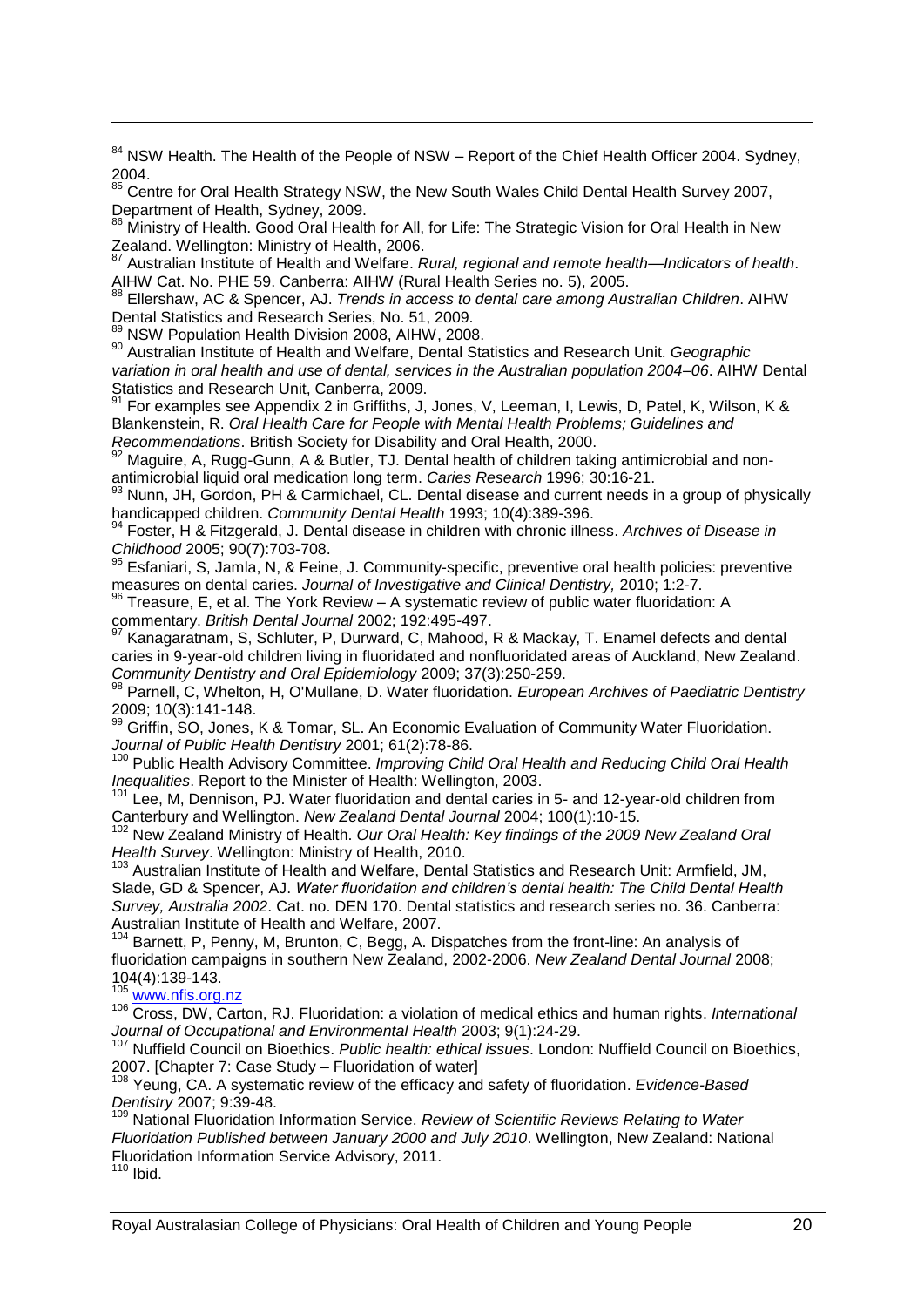$84$  NSW Health. The Health of the People of NSW – Report of the Chief Health Officer 2004. Sydney, 2004.

85 Centre for Oral Health Strategy NSW, the New South Wales Child Dental Health Survey 2007, Department of Health, Sydney, 2009.

<sup>86</sup> Ministry of Health. Good Oral Health for All, for Life: The Strategic Vision for Oral Health in New Zealand. Wellington: Ministry of Health, 2006.

<sup>87</sup> Australian Institute of Health and Welfare. *Rural, regional and remote health—Indicators of health*. AIHW Cat. No. PHE 59. Canberra: AIHW (Rural Health Series no. 5), 2005.

<sup>88</sup> Ellershaw, AC & Spencer, AJ. *Trends in access to dental care among Australian Children*. AIHW Dental Statistics and Research Series, No. 51, 2009.

89 NSW Population Health Division 2008, AIHW, 2008.

-

<sup>90</sup> Australian Institute of Health and Welfare, Dental Statistics and Research Unit. *Geographic variation in oral health and use of dental, services in the Australian population 2004–06*. AIHW Dental Statistics and Research Unit, Canberra, 2009.

<sup>91</sup> For examples see Appendix 2 in Griffiths, J, Jones, V, Leeman, I, Lewis, D, Patel, K, Wilson, K & Blankenstein, R. *Oral Health Care for People with Mental Health Problems; Guidelines and Recommendations*. British Society for Disability and Oral Health, 2000.

92 Maguire, A, Rugg-Gunn, A & Butler, TJ. Dental health of children taking antimicrobial and nonantimicrobial liquid oral medication long term. *Caries Research* 1996; 30:16-21.

93 Nunn, JH, Gordon, PH & Carmichael, CL. Dental disease and current needs in a group of physically handicapped children. *Community Dental Health* 1993; 10(4):389-396.

<sup>94</sup> Foster, H & Fitzgerald, J. Dental disease in children with chronic illness. *Archives of Disease in Childhood* 2005; 90(7):703-708.

 $95$  Esfaniari, S, Jamla, N, & Feine, J. Community-specific, preventive oral health policies: preventive measures on dental caries. *Journal of Investigative and Clinical Dentistry,* 2010; 1:2-7.

 $96$  Treasure, E, et al. The York Review – A systematic review of public water fluoridation: A commentary. *British Dental Journal* 2002; 192:495-497.

 $97$  Kanagaratnam, S, Schluter, P, Durward, C, Mahood, R & Mackay, T. Enamel defects and dental caries in 9-year-old children living in fluoridated and nonfluoridated areas of Auckland, New Zealand. *Community Dentistry and Oral Epidemiology* 2009; 37(3):250-259.

<sup>98</sup> Parnell, C, Whelton, H, O'Mullane, D. Water fluoridation. *European Archives of Paediatric Dentistry* 2009; 10(3):141-148.<br><sup>99</sup> Griffin SO Jones

Griffin, SO, Jones, K & Tomar, SL. An Economic Evaluation of Community Water Fluoridation. *Journal of Public Health Dentistry* 2001; 61(2):78-86.

<sup>100</sup> Public Health Advisory Committee. *Improving Child Oral Health and Reducing Child Oral Health Inequalities*. Report to the Minister of Health: Wellington, 2003.

<sup>101</sup> Lee, M, Dennison, PJ. Water fluoridation and dental caries in 5- and 12-year-old children from Canterbury and Wellington. *New Zealand Dental Journal* 2004; 100(1):10-15.

<sup>102</sup> New Zealand Ministry of Health. *Our Oral Health: Key findings of the 2009 New Zealand Oral Health Survey*. Wellington: Ministry of Health, 2010.

<sup>103</sup> Australian Institute of Health and Welfare, Dental Statistics and Research Unit: Armfield, JM, Slade, GD & Spencer, AJ. *Water fluoridation and children's dental health: The Child Dental Health Survey, Australia 2002*. Cat. no. DEN 170. Dental statistics and research series no. 36. Canberra: Australian Institute of Health and Welfare, 2007.

Barnett, P, Penny, M, Brunton, C, Begg, A. Dispatches from the front-line: An analysis of fluoridation campaigns in southern New Zealand, 2002-2006. *New Zealand Dental Journal* 2008; 104(4):139-143.

[www.nfis.org.nz](http://www.nfis.org.nz/)

106 Www.fillis.Org.frameter.com<br><sup>106</sup> Cross, DW, Carton, RJ. Fluoridation: a violation of medical ethics and human rights. *International Journal of Occupational and Environmental Health* 2003; 9(1):24-29.

<sup>107</sup> Nuffield Council on Bioethics. *Public health: ethical issues*. London: Nuffield Council on Bioethics, 2007. [Chapter 7: Case Study – Fluoridation of water]

<sup>108</sup> Yeung, CA. A systematic review of the efficacy and safety of fluoridation. *Evidence-Based Dentistry* 2007; 9:39-48.

<sup>109</sup> National Fluoridation Information Service. *Review of Scientific Reviews Relating to Water Fluoridation Published between January 2000 and July 2010*. Wellington, New Zealand: National Fluoridation Information Service Advisory, 2011.

 $110$  Ibid.